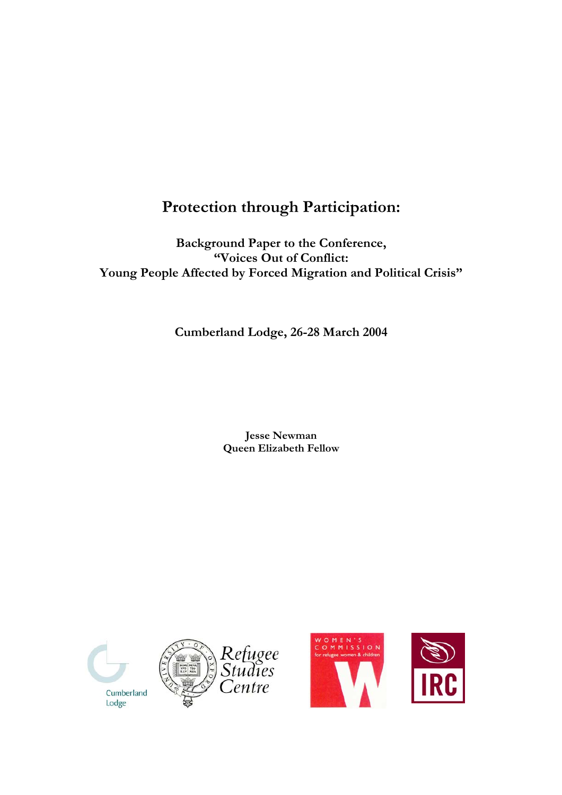# **Protection through Participation:**

**Background Paper to the Conference, "Voices Out of Conflict: Young People Affected by Forced Migration and Political Crisis"** 

**Cumberland Lodge, 26-28 March 2004** 

**Jesse Newman Queen Elizabeth Fellow** 







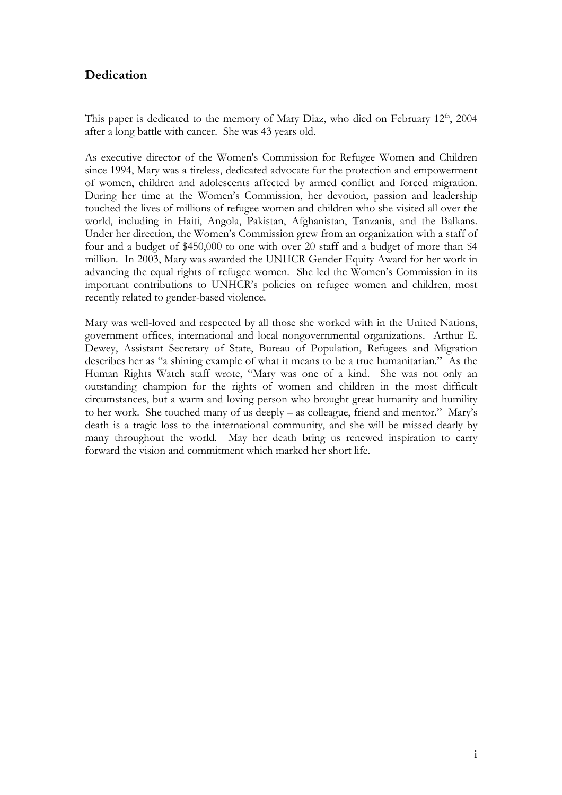## **Dedication**

This paper is dedicated to the memory of Mary Diaz, who died on February  $12<sup>th</sup>$ , 2004 after a long battle with cancer. She was 43 years old.

As executive director of the Women's Commission for Refugee Women and Children since 1994, Mary was a tireless, dedicated advocate for the protection and empowerment of women, children and adolescents affected by armed conflict and forced migration. During her time at the Women's Commission, her devotion, passion and leadership touched the lives of millions of refugee women and children who she visited all over the world, including in Haiti, Angola, Pakistan, Afghanistan, Tanzania, and the Balkans. Under her direction, the Women's Commission grew from an organization with a staff of four and a budget of \$450,000 to one with over 20 staff and a budget of more than \$4 million. In 2003, Mary was awarded the UNHCR Gender Equity Award for her work in advancing the equal rights of refugee women. She led the Women's Commission in its important contributions to UNHCR's policies on refugee women and children, most recently related to gender-based violence.

Mary was well-loved and respected by all those she worked with in the United Nations, government offices, international and local nongovernmental organizations. Arthur E. Dewey, Assistant Secretary of State, Bureau of Population, Refugees and Migration describes her as "a shining example of what it means to be a true humanitarian." As the Human Rights Watch staff wrote, "Mary was one of a kind. She was not only an outstanding champion for the rights of women and children in the most difficult circumstances, but a warm and loving person who brought great humanity and humility to her work. She touched many of us deeply – as colleague, friend and mentor." Mary's death is a tragic loss to the international community, and she will be missed dearly by many throughout the world. May her death bring us renewed inspiration to carry forward the vision and commitment which marked her short life.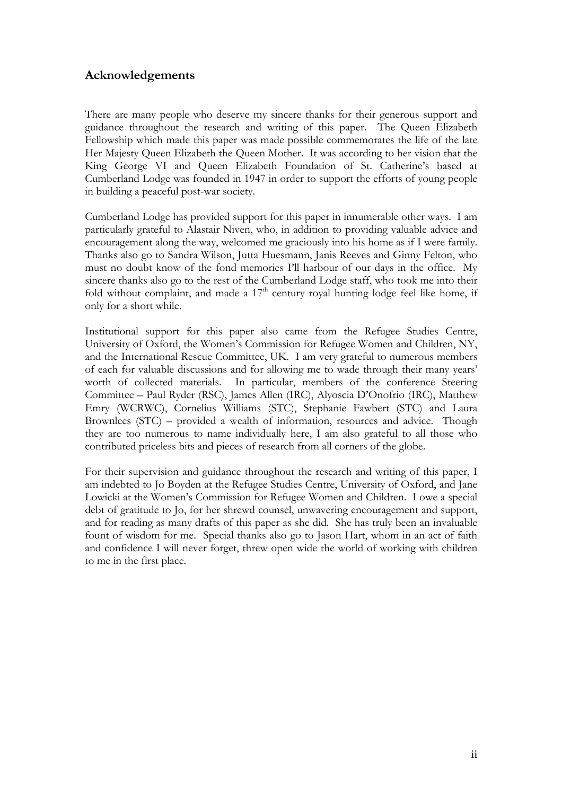## **Acknowledgements**

There are many people who deserve my sincere thanks for their generous support and guidance throughout the research and writing of this paper. The Queen Elizabeth Fellowship which made this paper was made possible commemorates the life of the late Her Majesty Queen Elizabeth the Queen Mother. It was according to her vision that the King George VI and Queen Elizabeth Foundation of St. Catherine's based at Cumberland Lodge was founded in 1947 in order to support the efforts of young people in building a peaceful post-war society.

Cumberland Lodge has provided support for this paper in innumerable other ways. I am particularly grateful to Alastair Niven, who, in addition to providing valuable advice and encouragement along the way, welcomed me graciously into his home as if I were family. Thanks also go to Sandra Wilson, Jutta Huesmann, Janis Reeves and Ginny Felton, who must no doubt know of the fond memories I'll harbour of our days in the office. My sincere thanks also go to the rest of the Cumberland Lodge staff, who took me into their fold without complaint, and made a  $17<sup>th</sup>$  century royal hunting lodge feel like home, if only for a short while.

Institutional support for this paper also came from the Refugee Studies Centre, University of Oxford, the Women's Commission for Refugee Women and Children, NY, and the International Rescue Committee, UK. I am very grateful to numerous members of each for valuable discussions and for allowing me to wade through their many years' worth of collected materials. In particular, members of the conference Steering Committee – Paul Ryder (RSC), James Allen (IRC), Alyoscia D'Onofrio (IRC), Matthew Emry (WCRWC), Cornelius Williams (STC), Stephanie Fawbert (STC) and Laura Brownlees (STC) – provided a wealth of information, resources and advice. Though they are too numerous to name individually here, I am also grateful to all those who contributed priceless bits and pieces of research from all corners of the globe.

For their supervision and guidance throughout the research and writing of this paper, I am indebted to Jo Boyden at the Refugee Studies Centre, University of Oxford, and Jane Lowicki at the Women's Commission for Refugee Women and Children. I owe a special debt of gratitude to Jo, for her shrewd counsel, unwavering encouragement and support, and for reading as many drafts of this paper as she did. She has truly been an invaluable fount of wisdom for me. Special thanks also go to Jason Hart, whom in an act of faith and confidence I will never forget, threw open wide the world of working with children to me in the first place.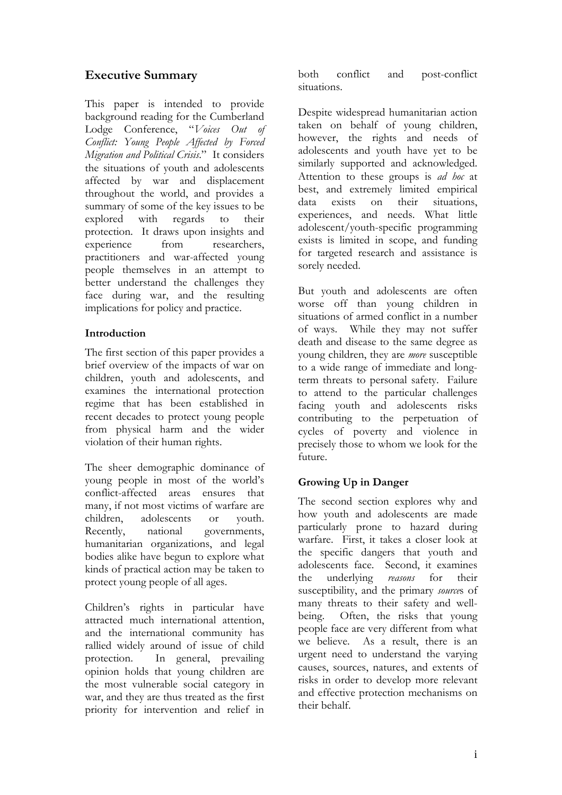## **Executive Summary**

This paper is intended to provide background reading for the Cumberland Lodge Conference, "*Voices Out of Conflict: Young People Affected by Forced Migration and Political Crisis*." It considers the situations of youth and adolescents affected by war and displacement throughout the world, and provides a summary of some of the key issues to be explored with regards to their protection. It draws upon insights and experience from researchers, practitioners and war-affected young people themselves in an attempt to better understand the challenges they face during war, and the resulting implications for policy and practice.

## **Introduction**

The first section of this paper provides a brief overview of the impacts of war on children, youth and adolescents, and examines the international protection regime that has been established in recent decades to protect young people from physical harm and the wider violation of their human rights.

The sheer demographic dominance of young people in most of the world's conflict-affected areas ensures that many, if not most victims of warfare are children, adolescents or youth. Recently, national governments, humanitarian organizations, and legal bodies alike have begun to explore what kinds of practical action may be taken to protect young people of all ages.

Children's rights in particular have attracted much international attention, and the international community has rallied widely around of issue of child protection. In general, prevailing opinion holds that young children are the most vulnerable social category in war, and they are thus treated as the first priority for intervention and relief in

both conflict and post-conflict situations.

Despite widespread humanitarian action taken on behalf of young children, however, the rights and needs of adolescents and youth have yet to be similarly supported and acknowledged. Attention to these groups is *ad hoc* at best, and extremely limited empirical data exists on their situations, experiences, and needs. What little adolescent/youth-specific programming exists is limited in scope, and funding for targeted research and assistance is sorely needed.

But youth and adolescents are often worse off than young children in situations of armed conflict in a number of ways. While they may not suffer death and disease to the same degree as young children, they are *more* susceptible to a wide range of immediate and longterm threats to personal safety. Failure to attend to the particular challenges facing youth and adolescents risks contributing to the perpetuation of cycles of poverty and violence in precisely those to whom we look for the future.

## **Growing Up in Danger**

The second section explores why and how youth and adolescents are made particularly prone to hazard during warfare. First, it takes a closer look at the specific dangers that youth and adolescents face. Second, it examines the underlying *reasons* for their susceptibility, and the primary *source*s of many threats to their safety and wellbeing. Often, the risks that young people face are very different from what we believe. As a result, there is an urgent need to understand the varying causes, sources, natures, and extents of risks in order to develop more relevant and effective protection mechanisms on their behalf.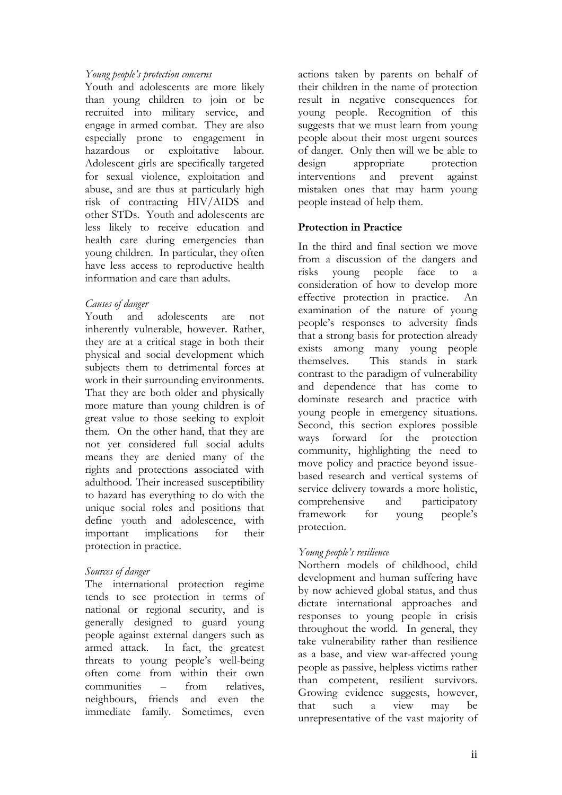#### *Young people's protection concerns*

Youth and adolescents are more likely than young children to join or be recruited into military service, and engage in armed combat. They are also especially prone to engagement in hazardous or exploitative labour. Adolescent girls are specifically targeted for sexual violence, exploitation and abuse, and are thus at particularly high risk of contracting HIV/AIDS and other STDs. Youth and adolescents are less likely to receive education and health care during emergencies than young children. In particular, they often have less access to reproductive health information and care than adults.

#### *Causes of danger*

Youth and adolescents are not inherently vulnerable, however. Rather, they are at a critical stage in both their physical and social development which subjects them to detrimental forces at work in their surrounding environments. That they are both older and physically more mature than young children is of great value to those seeking to exploit them. On the other hand, that they are not yet considered full social adults means they are denied many of the rights and protections associated with adulthood. Their increased susceptibility to hazard has everything to do with the unique social roles and positions that define youth and adolescence, with important implications for their protection in practice.

#### *Sources of danger*

The international protection regime tends to see protection in terms of national or regional security, and is generally designed to guard young people against external dangers such as armed attack. In fact, the greatest threats to young people's well-being often come from within their own communities – from relatives, neighbours, friends and even the immediate family. Sometimes, even actions taken by parents on behalf of their children in the name of protection result in negative consequences for young people. Recognition of this suggests that we must learn from young people about their most urgent sources of danger. Only then will we be able to design appropriate protection interventions and prevent against mistaken ones that may harm young people instead of help them.

### **Protection in Practice**

In the third and final section we move from a discussion of the dangers and risks young people face to a consideration of how to develop more effective protection in practice. An examination of the nature of young people's responses to adversity finds that a strong basis for protection already exists among many young people themselves. This stands in stark contrast to the paradigm of vulnerability and dependence that has come to dominate research and practice with young people in emergency situations. Second, this section explores possible ways forward for the protection community, highlighting the need to move policy and practice beyond issuebased research and vertical systems of service delivery towards a more holistic, comprehensive and participatory framework for young people's protection.

#### *Young people's resilience*

Northern models of childhood, child development and human suffering have by now achieved global status, and thus dictate international approaches and responses to young people in crisis throughout the world. In general, they take vulnerability rather than resilience as a base, and view war-affected young people as passive, helpless victims rather than competent, resilient survivors. Growing evidence suggests, however, that such a view may be unrepresentative of the vast majority of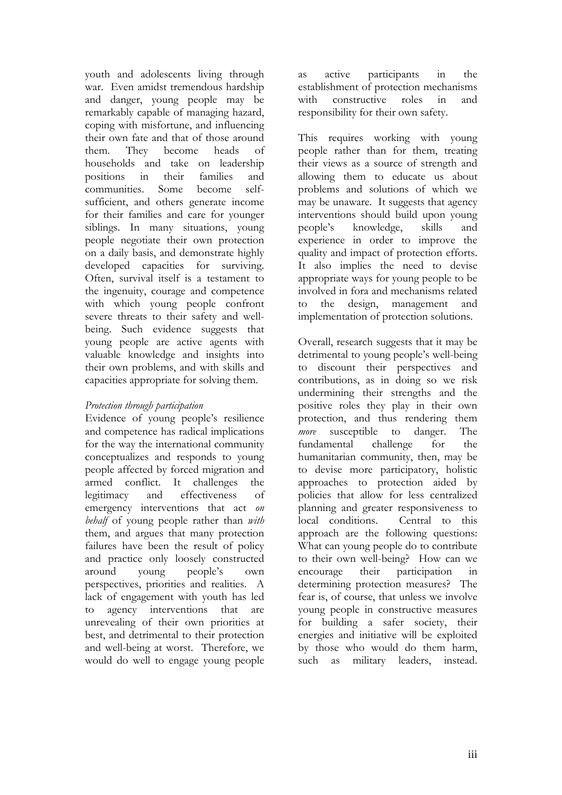youth and adolescents living through war. Even amidst tremendous hardship and danger, young people may be remarkably capable of managing hazard, coping with misfortune, and influencing their own fate and that of those around them. They become heads of households and take on leadership positions in their families and communities. Some become selfsufficient, and others generate income for their families and care for younger siblings. In many situations, young people negotiate their own protection on a daily basis, and demonstrate highly developed capacities for surviving. Often, survival itself is a testament to the ingenuity, courage and competence with which young people confront severe threats to their safety and wellbeing. Such evidence suggests that young people are active agents with valuable knowledge and insights into their own problems, and with skills and capacities appropriate for solving them.

#### *Protection through participation*

Evidence of young people's resilience and competence has radical implications for the way the international community conceptualizes and responds to young people affected by forced migration and armed conflict. It challenges the legitimacy and effectiveness of emergency interventions that act *on behalf* of young people rather than *with*  them, and argues that many protection failures have been the result of policy and practice only loosely constructed around young people's own perspectives, priorities and realities. A lack of engagement with youth has led to agency interventions that are unrevealing of their own priorities at best, and detrimental to their protection and well-being at worst. Therefore, we would do well to engage young people

as active participants in the establishment of protection mechanisms with constructive roles in and responsibility for their own safety.

This requires working with young people rather than for them, treating their views as a source of strength and allowing them to educate us about problems and solutions of which we may be unaware. It suggests that agency interventions should build upon young people's knowledge, skills and experience in order to improve the quality and impact of protection efforts. It also implies the need to devise appropriate ways for young people to be involved in fora and mechanisms related to the design, management and implementation of protection solutions.

Overall, research suggests that it may be detrimental to young people's well-being to discount their perspectives and contributions, as in doing so we risk undermining their strengths and the positive roles they play in their own protection, and thus rendering them *more* susceptible to danger. The fundamental challenge for the humanitarian community, then, may be to devise more participatory, holistic approaches to protection aided by policies that allow for less centralized planning and greater responsiveness to local conditions. Central to this approach are the following questions: What can young people do to contribute to their own well-being? How can we encourage their participation in determining protection measures? The fear is, of course, that unless we involve young people in constructive measures for building a safer society, their energies and initiative will be exploited by those who would do them harm, such as military leaders, instead.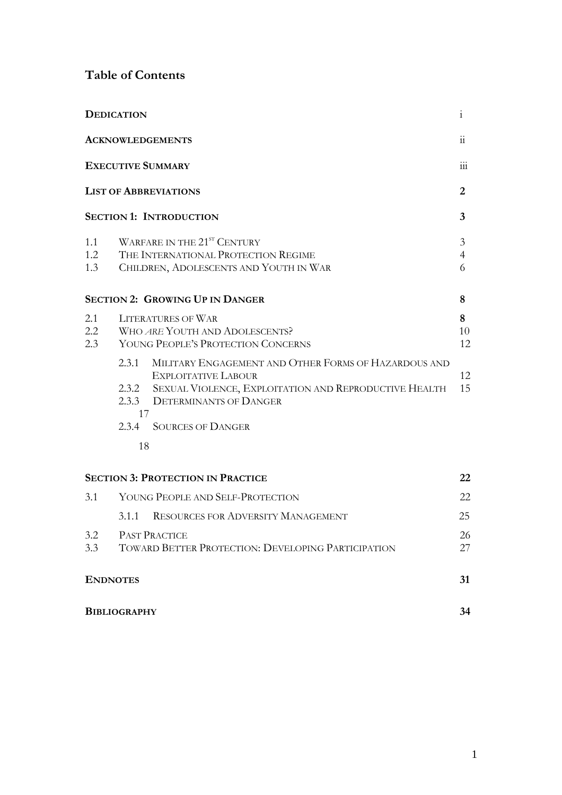## **Table of Contents**

| <b>DEDICATION</b><br>$\mathbf{i}$ |                                                                                                                          |                                                                                                                                                                                                              |                          |
|-----------------------------------|--------------------------------------------------------------------------------------------------------------------------|--------------------------------------------------------------------------------------------------------------------------------------------------------------------------------------------------------------|--------------------------|
| <b>ACKNOWLEDGEMENTS</b>           |                                                                                                                          |                                                                                                                                                                                                              | $\dddot{\mathbf{u}}$     |
|                                   | <b>EXECUTIVE SUMMARY</b><br><b>LIST OF ABBREVIATIONS</b>                                                                 |                                                                                                                                                                                                              |                          |
|                                   |                                                                                                                          |                                                                                                                                                                                                              |                          |
|                                   |                                                                                                                          | <b>SECTION 1: INTRODUCTION</b>                                                                                                                                                                               | $\overline{3}$           |
| 1.1<br>1.2<br>1.3                 | WARFARE IN THE 21 <sup>ST</sup> CENTURY<br>THE INTERNATIONAL PROTECTION REGIME<br>CHILDREN, ADOLESCENTS AND YOUTH IN WAR |                                                                                                                                                                                                              | 3<br>$\overline{4}$<br>6 |
|                                   |                                                                                                                          | <b>SECTION 2: GROWING UP IN DANGER</b>                                                                                                                                                                       | 8                        |
| 2.1<br>$2.2\,$<br>2.3             | <b>LITERATURES OF WAR</b><br>WHO ARE YOUTH AND ADOLESCENTS?<br>YOUNG PEOPLE'S PROTECTION CONCERNS                        |                                                                                                                                                                                                              | 8<br>10<br>12            |
|                                   | 2.3.1<br>17                                                                                                              | MILITARY ENGAGEMENT AND OTHER FORMS OF HAZARDOUS AND<br><b>EXPLOITATIVE LABOUR</b><br>2.3.2 SEXUAL VIOLENCE, EXPLOITATION AND REPRODUCTIVE HEALTH<br>2.3.3 DETERMINANTS OF DANGER<br>2.3.4 SOURCES OF DANGER | 12<br>15                 |
|                                   | 18                                                                                                                       |                                                                                                                                                                                                              |                          |
|                                   |                                                                                                                          | <b>SECTION 3: PROTECTION IN PRACTICE</b>                                                                                                                                                                     | 22                       |
| 3.1                               |                                                                                                                          | YOUNG PEOPLE AND SELF-PROTECTION                                                                                                                                                                             | 22                       |
|                                   | 3.1.1                                                                                                                    | <b>RESOURCES FOR ADVERSITY MANAGEMENT</b>                                                                                                                                                                    | 25                       |
| 3.2<br>3.3                        | <b>PAST PRACTICE</b><br>TOWARD BETTER PROTECTION: DEVELOPING PARTICIPATION                                               |                                                                                                                                                                                                              | 26<br>27                 |
|                                   | <b>ENDNOTES</b>                                                                                                          |                                                                                                                                                                                                              | 31                       |
|                                   | <b>BIBLIOGRAPHY</b>                                                                                                      |                                                                                                                                                                                                              |                          |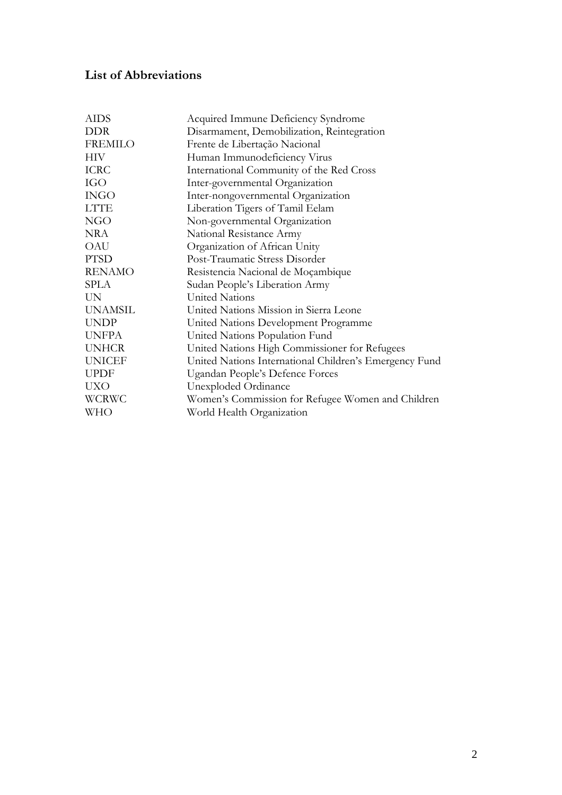## **List of Abbreviations**

| <b>AIDS</b>    | Acquired Immune Deficiency Syndrome                    |
|----------------|--------------------------------------------------------|
| <b>DDR</b>     | Disarmament, Demobilization, Reintegration             |
| FREMILO        | Frente de Libertação Nacional                          |
| <b>HIV</b>     | Human Immunodeficiency Virus                           |
| <b>ICRC</b>    | International Community of the Red Cross               |
| <b>IGO</b>     | Inter-governmental Organization                        |
| <b>INGO</b>    | Inter-nongovernmental Organization                     |
| <b>LTTE</b>    | Liberation Tigers of Tamil Eelam                       |
| <b>NGO</b>     | Non-governmental Organization                          |
| NRA            | National Resistance Army                               |
| OAU            | Organization of African Unity                          |
| <b>PTSD</b>    | Post-Traumatic Stress Disorder                         |
| <b>RENAMO</b>  | Resistencia Nacional de Moçambique                     |
| SPLA           | Sudan People's Liberation Army                         |
| UN.            | <b>United Nations</b>                                  |
| <b>UNAMSIL</b> | United Nations Mission in Sierra Leone                 |
| <b>UNDP</b>    | United Nations Development Programme                   |
| <b>UNFPA</b>   | United Nations Population Fund                         |
| <b>UNHCR</b>   | United Nations High Commissioner for Refugees          |
| <b>UNICEF</b>  | United Nations International Children's Emergency Fund |
| <b>UPDF</b>    | Ugandan People's Defence Forces                        |
| <b>UXO</b>     | Unexploded Ordinance                                   |
| <b>WCRWC</b>   | Women's Commission for Refugee Women and Children      |
| WHO            | World Health Organization                              |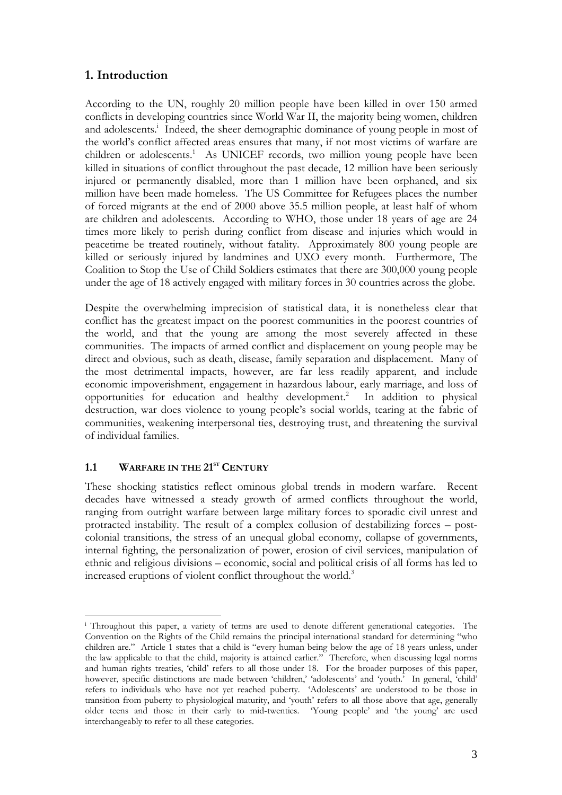## **1. Introduction**

According to the UN, roughly 20 million people have been killed in over 150 armed conflicts in developing countries since World War II, the majority being women, children and adolescents.<sup>i</sup> Indeed, the sheer demographic dominance of young people in most of the world's conflict affected areas ensures that many, if not most victims of warfare are children or adolescents.<sup>1</sup> As UNICEF records, two million young people have been killed in situations of conflict throughout the past decade, 12 million have been seriously injured or permanently disabled, more than 1 million have been orphaned, and six million have been made homeless. The US Committee for Refugees places the number of forced migrants at the end of 2000 above 35.5 million people, at least half of whom are children and adolescents. According to WHO, those under 18 years of age are 24 times more likely to perish during conflict from disease and injuries which would in peacetime be treated routinely, without fatality. Approximately 800 young people are killed or seriously injured by landmines and UXO every month. Furthermore, The Coalition to Stop the Use of Child Soldiers estimates that there are 300,000 young people under the age of 18 actively engaged with military forces in 30 countries across the globe.

Despite the overwhelming imprecision of statistical data, it is nonetheless clear that conflict has the greatest impact on the poorest communities in the poorest countries of the world, and that the young are among the most severely affected in these communities. The impacts of armed conflict and displacement on young people may be direct and obvious, such as death, disease, family separation and displacement. Many of the most detrimental impacts, however, are far less readily apparent, and include economic impoverishment, engagement in hazardous labour, early marriage, and loss of opportunities for education and healthy development.<sup>2</sup> In addition to physical destruction, war does violence to young people's social worlds, tearing at the fabric of communities, weakening interpersonal ties, destroying trust, and threatening the survival of individual families.

#### 1.1 WARFARE IN THE 21<sup>st</sup> CENTURY

 $\overline{a}$ 

These shocking statistics reflect ominous global trends in modern warfare. Recent decades have witnessed a steady growth of armed conflicts throughout the world, ranging from outright warfare between large military forces to sporadic civil unrest and protracted instability. The result of a complex collusion of destabilizing forces – postcolonial transitions, the stress of an unequal global economy, collapse of governments, internal fighting, the personalization of power, erosion of civil services, manipulation of ethnic and religious divisions – economic, social and political crisis of all forms has led to increased eruptions of violent conflict throughout the world.<sup>3</sup>

i Throughout this paper, a variety of terms are used to denote different generational categories. The Convention on the Rights of the Child remains the principal international standard for determining "who children are." Article 1 states that a child is "every human being below the age of 18 years unless, under the law applicable to that the child, majority is attained earlier." Therefore, when discussing legal norms and human rights treaties, 'child' refers to all those under 18. For the broader purposes of this paper, however, specific distinctions are made between 'children,' 'adolescents' and 'youth.' In general, 'child' refers to individuals who have not yet reached puberty. 'Adolescents' are understood to be those in transition from puberty to physiological maturity, and 'youth' refers to all those above that age, generally older teens and those in their early to mid-twenties. 'Young people' and 'the young' are used interchangeably to refer to all these categories.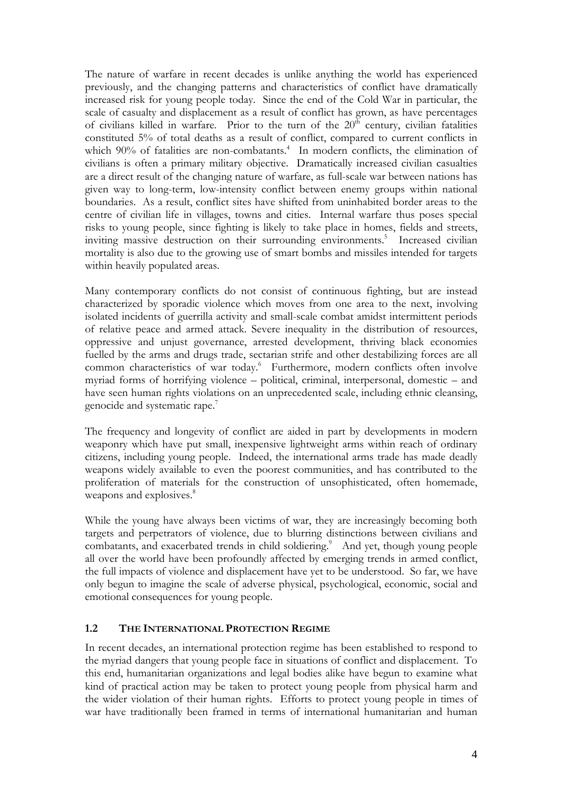The nature of warfare in recent decades is unlike anything the world has experienced previously, and the changing patterns and characteristics of conflict have dramatically increased risk for young people today. Since the end of the Cold War in particular, the scale of casualty and displacement as a result of conflict has grown, as have percentages of civilians killed in warfare. Prior to the turn of the  $20<sup>th</sup>$  century, civilian fatalities constituted 5% of total deaths as a result of conflict, compared to current conflicts in which 90% of fatalities are non-combatants.<sup>4</sup> In modern conflicts, the elimination of civilians is often a primary military objective. Dramatically increased civilian casualties are a direct result of the changing nature of warfare, as full-scale war between nations has given way to long-term, low-intensity conflict between enemy groups within national boundaries. As a result, conflict sites have shifted from uninhabited border areas to the centre of civilian life in villages, towns and cities. Internal warfare thus poses special risks to young people, since fighting is likely to take place in homes, fields and streets, inviting massive destruction on their surrounding environments.<sup>5</sup> Increased civilian mortality is also due to the growing use of smart bombs and missiles intended for targets within heavily populated areas.

Many contemporary conflicts do not consist of continuous fighting, but are instead characterized by sporadic violence which moves from one area to the next, involving isolated incidents of guerrilla activity and small-scale combat amidst intermittent periods of relative peace and armed attack. Severe inequality in the distribution of resources, oppressive and unjust governance, arrested development, thriving black economies fuelled by the arms and drugs trade, sectarian strife and other destabilizing forces are all common characteristics of war today.<sup>6</sup> Furthermore, modern conflicts often involve myriad forms of horrifying violence – political, criminal, interpersonal, domestic – and have seen human rights violations on an unprecedented scale, including ethnic cleansing, genocide and systematic rape. $7$ 

The frequency and longevity of conflict are aided in part by developments in modern weaponry which have put small, inexpensive lightweight arms within reach of ordinary citizens, including young people. Indeed, the international arms trade has made deadly weapons widely available to even the poorest communities, and has contributed to the proliferation of materials for the construction of unsophisticated, often homemade, weapons and explosives.<sup>8</sup>

While the young have always been victims of war, they are increasingly becoming both targets and perpetrators of violence, due to blurring distinctions between civilians and combatants, and exacerbated trends in child soldiering.<sup>9</sup> And yet, though young people all over the world have been profoundly affected by emerging trends in armed conflict, the full impacts of violence and displacement have yet to be understood. So far, we have only begun to imagine the scale of adverse physical, psychological, economic, social and emotional consequences for young people.

#### **1.2 THE INTERNATIONAL PROTECTION REGIME**

In recent decades, an international protection regime has been established to respond to the myriad dangers that young people face in situations of conflict and displacement. To this end, humanitarian organizations and legal bodies alike have begun to examine what kind of practical action may be taken to protect young people from physical harm and the wider violation of their human rights. Efforts to protect young people in times of war have traditionally been framed in terms of international humanitarian and human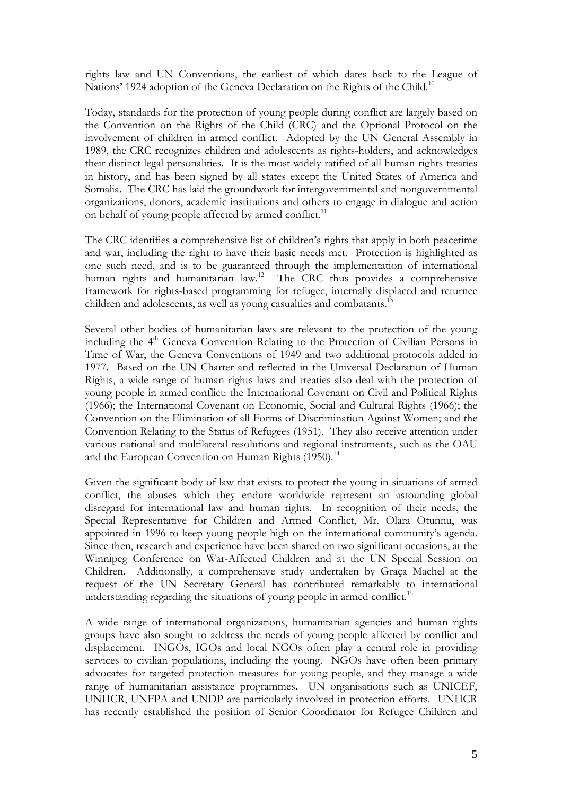rights law and UN Conventions, the earliest of which dates back to the League of Nations' 1924 adoption of the Geneva Declaration on the Rights of the Child.<sup>10</sup>

Today, standards for the protection of young people during conflict are largely based on the Convention on the Rights of the Child (CRC) and the Optional Protocol on the involvement of children in armed conflict. Adopted by the UN General Assembly in 1989, the CRC recognizes children and adolescents as rights-holders, and acknowledges their distinct legal personalities. It is the most widely ratified of all human rights treaties in history, and has been signed by all states except the United States of America and Somalia. The CRC has laid the groundwork for intergovernmental and nongovernmental organizations, donors, academic institutions and others to engage in dialogue and action on behalf of young people affected by armed conflict.<sup>11</sup>

The CRC identifies a comprehensive list of children's rights that apply in both peacetime and war, including the right to have their basic needs met. Protection is highlighted as one such need, and is to be guaranteed through the implementation of international human rights and humanitarian law.<sup>12</sup> The CRC thus provides a comprehensive framework for rights-based programming for refugee, internally displaced and returnee children and adolescents, as well as young casualties and combatants.<sup>13</sup>

Several other bodies of humanitarian laws are relevant to the protection of the young including the 4<sup>th</sup> Geneva Convention Relating to the Protection of Civilian Persons in Time of War, the Geneva Conventions of 1949 and two additional protocols added in 1977. Based on the UN Charter and reflected in the Universal Declaration of Human Rights, a wide range of human rights laws and treaties also deal with the protection of young people in armed conflict: the International Covenant on Civil and Political Rights (1966); the International Covenant on Economic, Social and Cultural Rights (1966); the Convention on the Elimination of all Forms of Discrimination Against Women; and the Convention Relating to the Status of Refugees (1951). They also receive attention under various national and multilateral resolutions and regional instruments, such as the OAU and the European Convention on Human Rights (1950).<sup>14</sup>

Given the significant body of law that exists to protect the young in situations of armed conflict, the abuses which they endure worldwide represent an astounding global disregard for international law and human rights. In recognition of their needs, the Special Representative for Children and Armed Conflict, Mr. Olara Otunnu, was appointed in 1996 to keep young people high on the international community's agenda. Since then, research and experience have been shared on two significant occasions, at the Winnipeg Conference on War-Affected Children and at the UN Special Session on Children. Additionally, a comprehensive study undertaken by Graça Machel at the request of the UN Secretary General has contributed remarkably to international understanding regarding the situations of young people in armed conflict.<sup>15</sup>

A wide range of international organizations, humanitarian agencies and human rights groups have also sought to address the needs of young people affected by conflict and displacement. INGOs, IGOs and local NGOs often play a central role in providing services to civilian populations, including the young. NGOs have often been primary advocates for targeted protection measures for young people, and they manage a wide range of humanitarian assistance programmes. UN organisations such as UNICEF, UNHCR, UNFPA and UNDP are particularly involved in protection efforts. UNHCR has recently established the position of Senior Coordinator for Refugee Children and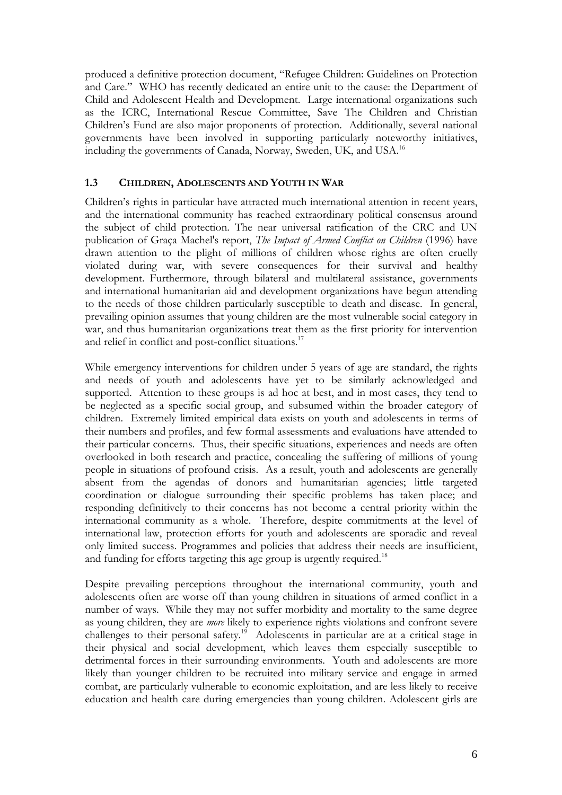produced a definitive protection document, "Refugee Children: Guidelines on Protection and Care." WHO has recently dedicated an entire unit to the cause: the Department of Child and Adolescent Health and Development. Large international organizations such as the ICRC, International Rescue Committee, Save The Children and Christian Children's Fund are also major proponents of protection. Additionally, several national governments have been involved in supporting particularly noteworthy initiatives, including the governments of Canada, Norway, Sweden, UK, and USA.<sup>16</sup>

#### **1.3 CHILDREN, ADOLESCENTS AND YOUTH IN WAR**

Children's rights in particular have attracted much international attention in recent years, and the international community has reached extraordinary political consensus around the subject of child protection. The near universal ratification of the CRC and UN publication of Graça Machel's report, *The Impact of Armed Conflict on Children* (1996) have drawn attention to the plight of millions of children whose rights are often cruelly violated during war, with severe consequences for their survival and healthy development. Furthermore, through bilateral and multilateral assistance, governments and international humanitarian aid and development organizations have begun attending to the needs of those children particularly susceptible to death and disease. In general, prevailing opinion assumes that young children are the most vulnerable social category in war, and thus humanitarian organizations treat them as the first priority for intervention and relief in conflict and post-conflict situations.<sup>17</sup>

While emergency interventions for children under 5 years of age are standard, the rights and needs of youth and adolescents have yet to be similarly acknowledged and supported. Attention to these groups is ad hoc at best, and in most cases, they tend to be neglected as a specific social group, and subsumed within the broader category of children. Extremely limited empirical data exists on youth and adolescents in terms of their numbers and profiles, and few formal assessments and evaluations have attended to their particular concerns. Thus, their specific situations, experiences and needs are often overlooked in both research and practice, concealing the suffering of millions of young people in situations of profound crisis. As a result, youth and adolescents are generally absent from the agendas of donors and humanitarian agencies; little targeted coordination or dialogue surrounding their specific problems has taken place; and responding definitively to their concerns has not become a central priority within the international community as a whole. Therefore, despite commitments at the level of international law, protection efforts for youth and adolescents are sporadic and reveal only limited success. Programmes and policies that address their needs are insufficient, and funding for efforts targeting this age group is urgently required.<sup>18</sup>

Despite prevailing perceptions throughout the international community, youth and adolescents often are worse off than young children in situations of armed conflict in a number of ways. While they may not suffer morbidity and mortality to the same degree as young children, they are *more* likely to experience rights violations and confront severe challenges to their personal safety.<sup>19</sup> Adolescents in particular are at a critical stage in their physical and social development, which leaves them especially susceptible to detrimental forces in their surrounding environments. Youth and adolescents are more likely than younger children to be recruited into military service and engage in armed combat, are particularly vulnerable to economic exploitation, and are less likely to receive education and health care during emergencies than young children. Adolescent girls are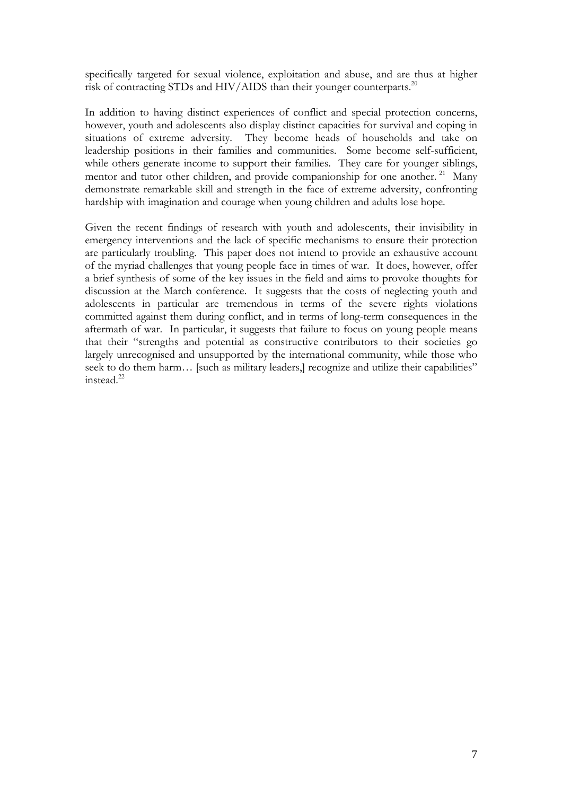specifically targeted for sexual violence, exploitation and abuse, and are thus at higher risk of contracting STDs and HIV/AIDS than their younger counterparts.<sup>20</sup>

In addition to having distinct experiences of conflict and special protection concerns, however, youth and adolescents also display distinct capacities for survival and coping in situations of extreme adversity. They become heads of households and take on leadership positions in their families and communities. Some become self-sufficient, while others generate income to support their families. They care for younger siblings, mentor and tutor other children, and provide companionship for one another.<sup>21</sup> Many demonstrate remarkable skill and strength in the face of extreme adversity, confronting hardship with imagination and courage when young children and adults lose hope.

Given the recent findings of research with youth and adolescents, their invisibility in emergency interventions and the lack of specific mechanisms to ensure their protection are particularly troubling. This paper does not intend to provide an exhaustive account of the myriad challenges that young people face in times of war. It does, however, offer a brief synthesis of some of the key issues in the field and aims to provoke thoughts for discussion at the March conference. It suggests that the costs of neglecting youth and adolescents in particular are tremendous in terms of the severe rights violations committed against them during conflict, and in terms of long-term consequences in the aftermath of war. In particular, it suggests that failure to focus on young people means that their "strengths and potential as constructive contributors to their societies go largely unrecognised and unsupported by the international community, while those who seek to do them harm... [such as military leaders,] recognize and utilize their capabilities"  $int$ instead<sup>22</sup>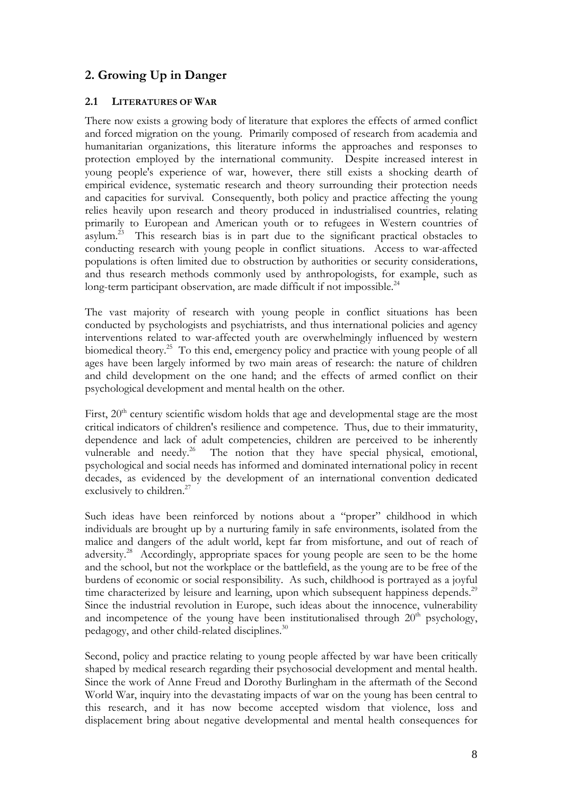## **2. Growing Up in Danger**

#### **2.1 LITERATURES OF WAR**

There now exists a growing body of literature that explores the effects of armed conflict and forced migration on the young. Primarily composed of research from academia and humanitarian organizations, this literature informs the approaches and responses to protection employed by the international community. Despite increased interest in young people's experience of war, however, there still exists a shocking dearth of empirical evidence, systematic research and theory surrounding their protection needs and capacities for survival. Consequently, both policy and practice affecting the young relies heavily upon research and theory produced in industrialised countries, relating primarily to European and American youth or to refugees in Western countries of asylum.<sup>23</sup> This research bias is in part due to the significant practical obstacles to conducting research with young people in conflict situations. Access to war-affected populations is often limited due to obstruction by authorities or security considerations, and thus research methods commonly used by anthropologists, for example, such as long-term participant observation, are made difficult if not impossible. $^{24}$ 

The vast majority of research with young people in conflict situations has been conducted by psychologists and psychiatrists, and thus international policies and agency interventions related to war-affected youth are overwhelmingly influenced by western biomedical theory.<sup>25</sup> To this end, emergency policy and practice with young people of all ages have been largely informed by two main areas of research: the nature of children and child development on the one hand; and the effects of armed conflict on their psychological development and mental health on the other.

First, 20<sup>th</sup> century scientific wisdom holds that age and developmental stage are the most critical indicators of children's resilience and competence. Thus, due to their immaturity, dependence and lack of adult competencies, children are perceived to be inherently vulnerable and needy.<sup>26</sup> The notion that they have special physical, emotional, The notion that they have special physical, emotional, psychological and social needs has informed and dominated international policy in recent decades, as evidenced by the development of an international convention dedicated exclusively to children.<sup>27</sup>

Such ideas have been reinforced by notions about a "proper" childhood in which individuals are brought up by a nurturing family in safe environments, isolated from the malice and dangers of the adult world, kept far from misfortune, and out of reach of adversity.<sup>28</sup> Accordingly, appropriate spaces for young people are seen to be the home and the school, but not the workplace or the battlefield, as the young are to be free of the burdens of economic or social responsibility. As such, childhood is portrayed as a joyful time characterized by leisure and learning, upon which subsequent happiness depends.<sup>29</sup> Since the industrial revolution in Europe, such ideas about the innocence, vulnerability and incompetence of the young have been institutionalised through  $20<sup>th</sup>$  psychology, pedagogy, and other child-related disciplines.<sup>30</sup>

Second, policy and practice relating to young people affected by war have been critically shaped by medical research regarding their psychosocial development and mental health. Since the work of Anne Freud and Dorothy Burlingham in the aftermath of the Second World War, inquiry into the devastating impacts of war on the young has been central to this research, and it has now become accepted wisdom that violence, loss and displacement bring about negative developmental and mental health consequences for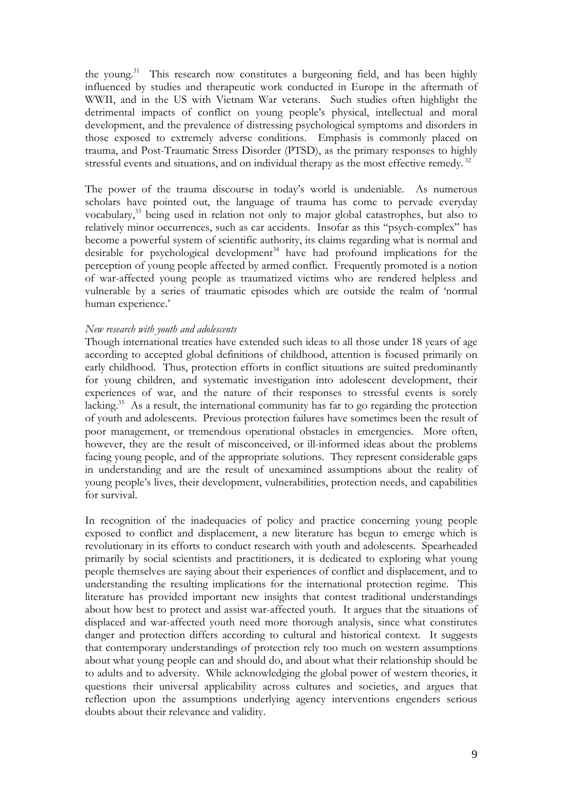the young. $31$  This research now constitutes a burgeoning field, and has been highly influenced by studies and therapeutic work conducted in Europe in the aftermath of WWII, and in the US with Vietnam War veterans. Such studies often highlight the detrimental impacts of conflict on young people's physical, intellectual and moral development, and the prevalence of distressing psychological symptoms and disorders in those exposed to extremely adverse conditions. Emphasis is commonly placed on trauma, and Post-Traumatic Stress Disorder (PTSD), as the primary responses to highly stressful events and situations, and on individual therapy as the most effective remedy.<sup>32</sup>

The power of the trauma discourse in today's world is undeniable. As numerous scholars have pointed out, the language of trauma has come to pervade everyday vocabulary,33 being used in relation not only to major global catastrophes, but also to relatively minor occurrences, such as car accidents. Insofar as this "psych-complex" has become a powerful system of scientific authority, its claims regarding what is normal and desirable for psychological development<sup>34</sup> have had profound implications for the perception of young people affected by armed conflict. Frequently promoted is a notion of war-affected young people as traumatized victims who are rendered helpless and vulnerable by a series of traumatic episodes which are outside the realm of 'normal human experience.'

#### *New research with youth and adolescents*

Though international treaties have extended such ideas to all those under 18 years of age according to accepted global definitions of childhood, attention is focused primarily on early childhood. Thus, protection efforts in conflict situations are suited predominantly for young children, and systematic investigation into adolescent development, their experiences of war, and the nature of their responses to stressful events is sorely lacking.<sup>35</sup> As a result, the international community has far to go regarding the protection of youth and adolescents. Previous protection failures have sometimes been the result of poor management, or tremendous operational obstacles in emergencies. More often, however, they are the result of misconceived, or ill-informed ideas about the problems facing young people, and of the appropriate solutions. They represent considerable gaps in understanding and are the result of unexamined assumptions about the reality of young people's lives, their development, vulnerabilities, protection needs, and capabilities for survival.

In recognition of the inadequacies of policy and practice concerning young people exposed to conflict and displacement, a new literature has begun to emerge which is revolutionary in its efforts to conduct research with youth and adolescents. Spearheaded primarily by social scientists and practitioners, it is dedicated to exploring what young people themselves are saying about their experiences of conflict and displacement, and to understanding the resulting implications for the international protection regime. This literature has provided important new insights that contest traditional understandings about how best to protect and assist war-affected youth. It argues that the situations of displaced and war-affected youth need more thorough analysis, since what constitutes danger and protection differs according to cultural and historical context. It suggests that contemporary understandings of protection rely too much on western assumptions about what young people can and should do, and about what their relationship should be to adults and to adversity. While acknowledging the global power of western theories, it questions their universal applicability across cultures and societies, and argues that reflection upon the assumptions underlying agency interventions engenders serious doubts about their relevance and validity.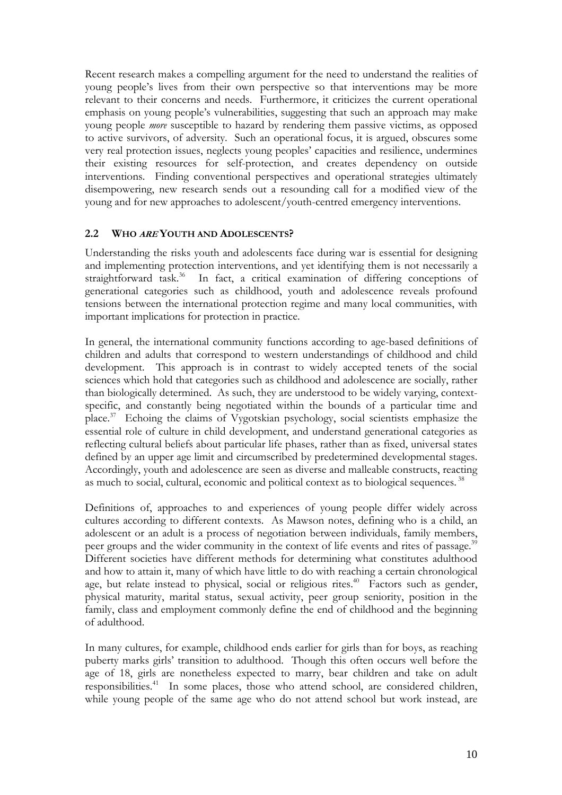Recent research makes a compelling argument for the need to understand the realities of young people's lives from their own perspective so that interventions may be more relevant to their concerns and needs. Furthermore, it criticizes the current operational emphasis on young people's vulnerabilities, suggesting that such an approach may make young people *more* susceptible to hazard by rendering them passive victims, as opposed to active survivors, of adversity. Such an operational focus, it is argued, obscures some very real protection issues, neglects young peoples' capacities and resilience, undermines their existing resources for self-protection, and creates dependency on outside interventions. Finding conventional perspectives and operational strategies ultimately disempowering, new research sends out a resounding call for a modified view of the young and for new approaches to adolescent/youth-centred emergency interventions.

#### **2.2 WHO ARE YOUTH AND ADOLESCENTS?**

Understanding the risks youth and adolescents face during war is essential for designing and implementing protection interventions, and yet identifying them is not necessarily a straightforward task.<sup>36</sup> In fact, a critical examination of differing conceptions of generational categories such as childhood, youth and adolescence reveals profound tensions between the international protection regime and many local communities, with important implications for protection in practice.

In general, the international community functions according to age-based definitions of children and adults that correspond to western understandings of childhood and child development. This approach is in contrast to widely accepted tenets of the social sciences which hold that categories such as childhood and adolescence are socially, rather than biologically determined. As such, they are understood to be widely varying, contextspecific, and constantly being negotiated within the bounds of a particular time and place.37 Echoing the claims of Vygotskian psychology, social scientists emphasize the essential role of culture in child development, and understand generational categories as reflecting cultural beliefs about particular life phases, rather than as fixed, universal states defined by an upper age limit and circumscribed by predetermined developmental stages. Accordingly, youth and adolescence are seen as diverse and malleable constructs, reacting as much to social, cultural, economic and political context as to biological sequences. 38

Definitions of, approaches to and experiences of young people differ widely across cultures according to different contexts. As Mawson notes, defining who is a child, an adolescent or an adult is a process of negotiation between individuals, family members, peer groups and the wider community in the context of life events and rites of passage.<sup>39</sup> Different societies have different methods for determining what constitutes adulthood and how to attain it, many of which have little to do with reaching a certain chronological age, but relate instead to physical, social or religious rites.<sup>40</sup> Factors such as gender, physical maturity, marital status, sexual activity, peer group seniority, position in the family, class and employment commonly define the end of childhood and the beginning of adulthood.

In many cultures, for example, childhood ends earlier for girls than for boys, as reaching puberty marks girls' transition to adulthood. Though this often occurs well before the age of 18, girls are nonetheless expected to marry, bear children and take on adult responsibilities.<sup>41</sup> In some places, those who attend school, are considered children, while young people of the same age who do not attend school but work instead, are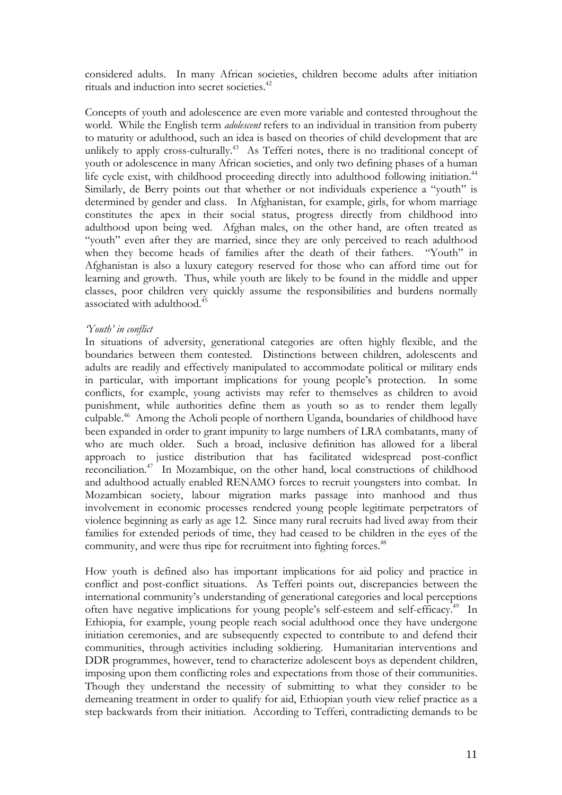considered adults. In many African societies, children become adults after initiation rituals and induction into secret societies.<sup>42</sup>

Concepts of youth and adolescence are even more variable and contested throughout the world. While the English term *adolescent* refers to an individual in transition from puberty to maturity or adulthood, such an idea is based on theories of child development that are unlikely to apply cross-culturally.<sup>43</sup> As Tefferi notes, there is no traditional concept of youth or adolescence in many African societies, and only two defining phases of a human life cycle exist, with childhood proceeding directly into adulthood following initiation.<sup>44</sup> Similarly, de Berry points out that whether or not individuals experience a "youth" is determined by gender and class. In Afghanistan, for example, girls, for whom marriage constitutes the apex in their social status, progress directly from childhood into adulthood upon being wed. Afghan males, on the other hand, are often treated as "youth" even after they are married, since they are only perceived to reach adulthood when they become heads of families after the death of their fathers. "Youth" in Afghanistan is also a luxury category reserved for those who can afford time out for learning and growth. Thus, while youth are likely to be found in the middle and upper classes, poor children very quickly assume the responsibilities and burdens normally associated with adulthood. 45

#### *'Youth' in conflict*

In situations of adversity, generational categories are often highly flexible, and the boundaries between them contested. Distinctions between children, adolescents and adults are readily and effectively manipulated to accommodate political or military ends in particular, with important implications for young people's protection. In some conflicts, for example, young activists may refer to themselves as children to avoid punishment, while authorities define them as youth so as to render them legally culpable.46 Among the Acholi people of northern Uganda, boundaries of childhood have been expanded in order to grant impunity to large numbers of LRA combatants, many of who are much older. Such a broad, inclusive definition has allowed for a liberal approach to justice distribution that has facilitated widespread post-conflict reconciliation.47 In Mozambique, on the other hand, local constructions of childhood and adulthood actually enabled RENAMO forces to recruit youngsters into combat. In Mozambican society, labour migration marks passage into manhood and thus involvement in economic processes rendered young people legitimate perpetrators of violence beginning as early as age 12. Since many rural recruits had lived away from their families for extended periods of time, they had ceased to be children in the eyes of the community, and were thus ripe for recruitment into fighting forces.<sup>48</sup>

How youth is defined also has important implications for aid policy and practice in conflict and post-conflict situations. As Tefferi points out, discrepancies between the international community's understanding of generational categories and local perceptions often have negative implications for young people's self-esteem and self-efficacy.<sup>49</sup> In Ethiopia, for example, young people reach social adulthood once they have undergone initiation ceremonies, and are subsequently expected to contribute to and defend their communities, through activities including soldiering. Humanitarian interventions and DDR programmes, however, tend to characterize adolescent boys as dependent children, imposing upon them conflicting roles and expectations from those of their communities. Though they understand the necessity of submitting to what they consider to be demeaning treatment in order to qualify for aid, Ethiopian youth view relief practice as a step backwards from their initiation. According to Tefferi, contradicting demands to be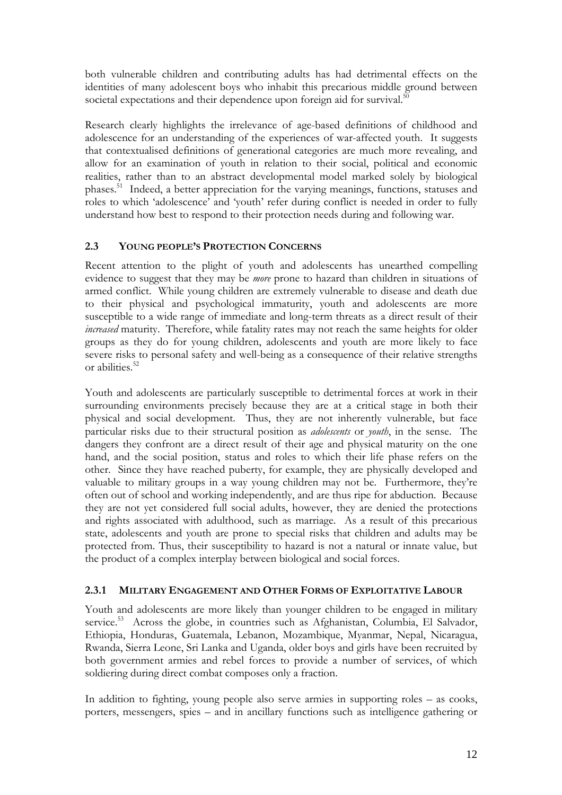both vulnerable children and contributing adults has had detrimental effects on the identities of many adolescent boys who inhabit this precarious middle ground between societal expectations and their dependence upon foreign aid for survival.<sup>50</sup>

Research clearly highlights the irrelevance of age-based definitions of childhood and adolescence for an understanding of the experiences of war-affected youth. It suggests that contextualised definitions of generational categories are much more revealing, and allow for an examination of youth in relation to their social, political and economic realities, rather than to an abstract developmental model marked solely by biological phases.51 Indeed, a better appreciation for the varying meanings, functions, statuses and roles to which 'adolescence' and 'youth' refer during conflict is needed in order to fully understand how best to respond to their protection needs during and following war.

#### **2.3 YOUNG PEOPLE'S PROTECTION CONCERNS**

Recent attention to the plight of youth and adolescents has unearthed compelling evidence to suggest that they may be *more* prone to hazard than children in situations of armed conflict. While young children are extremely vulnerable to disease and death due to their physical and psychological immaturity, youth and adolescents are more susceptible to a wide range of immediate and long-term threats as a direct result of their *increased* maturity. Therefore, while fatality rates may not reach the same heights for older groups as they do for young children, adolescents and youth are more likely to face severe risks to personal safety and well-being as a consequence of their relative strengths or abilities.<sup>52</sup>

Youth and adolescents are particularly susceptible to detrimental forces at work in their surrounding environments precisely because they are at a critical stage in both their physical and social development. Thus, they are not inherently vulnerable, but face particular risks due to their structural position as *adolescents* or *youth*, in the sense. The dangers they confront are a direct result of their age and physical maturity on the one hand, and the social position, status and roles to which their life phase refers on the other. Since they have reached puberty, for example, they are physically developed and valuable to military groups in a way young children may not be. Furthermore, they're often out of school and working independently, and are thus ripe for abduction. Because they are not yet considered full social adults, however, they are denied the protections and rights associated with adulthood, such as marriage. As a result of this precarious state, adolescents and youth are prone to special risks that children and adults may be protected from. Thus, their susceptibility to hazard is not a natural or innate value, but the product of a complex interplay between biological and social forces.

#### **2.3.1 MILITARY ENGAGEMENT AND OTHER FORMS OF EXPLOITATIVE LABOUR**

Youth and adolescents are more likely than younger children to be engaged in military service.<sup>53</sup> Across the globe, in countries such as Afghanistan, Columbia, El Salvador, Ethiopia, Honduras, Guatemala, Lebanon, Mozambique, Myanmar, Nepal, Nicaragua, Rwanda, Sierra Leone, Sri Lanka and Uganda, older boys and girls have been recruited by both government armies and rebel forces to provide a number of services, of which soldiering during direct combat composes only a fraction.

In addition to fighting, young people also serve armies in supporting roles – as cooks, porters, messengers, spies – and in ancillary functions such as intelligence gathering or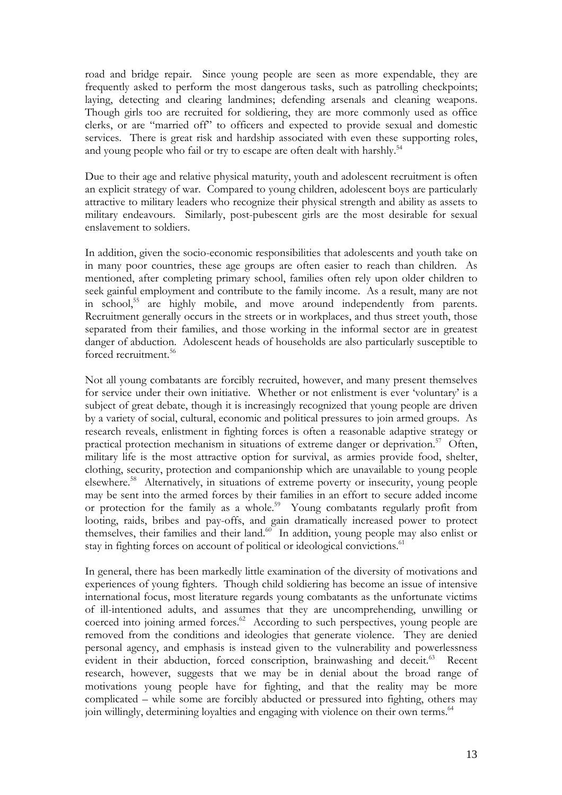road and bridge repair. Since young people are seen as more expendable, they are frequently asked to perform the most dangerous tasks, such as patrolling checkpoints; laying, detecting and clearing landmines; defending arsenals and cleaning weapons. Though girls too are recruited for soldiering, they are more commonly used as office clerks, or are "married off" to officers and expected to provide sexual and domestic services. There is great risk and hardship associated with even these supporting roles, and young people who fail or try to escape are often dealt with harshly.<sup>54</sup>

Due to their age and relative physical maturity, youth and adolescent recruitment is often an explicit strategy of war. Compared to young children, adolescent boys are particularly attractive to military leaders who recognize their physical strength and ability as assets to military endeavours. Similarly, post-pubescent girls are the most desirable for sexual enslavement to soldiers.

In addition, given the socio-economic responsibilities that adolescents and youth take on in many poor countries, these age groups are often easier to reach than children. As mentioned, after completing primary school, families often rely upon older children to seek gainful employment and contribute to the family income. As a result, many are not in school,55 are highly mobile, and move around independently from parents. Recruitment generally occurs in the streets or in workplaces, and thus street youth, those separated from their families, and those working in the informal sector are in greatest danger of abduction. Adolescent heads of households are also particularly susceptible to forced recruitment.<sup>56</sup>

Not all young combatants are forcibly recruited, however, and many present themselves for service under their own initiative. Whether or not enlistment is ever 'voluntary' is a subject of great debate, though it is increasingly recognized that young people are driven by a variety of social, cultural, economic and political pressures to join armed groups. As research reveals, enlistment in fighting forces is often a reasonable adaptive strategy or practical protection mechanism in situations of extreme danger or deprivation.<sup>57</sup> Often, military life is the most attractive option for survival, as armies provide food, shelter, clothing, security, protection and companionship which are unavailable to young people elsewhere.58 Alternatively, in situations of extreme poverty or insecurity, young people may be sent into the armed forces by their families in an effort to secure added income or protection for the family as a whole.<sup>59</sup> Young combatants regularly profit from looting, raids, bribes and pay-offs, and gain dramatically increased power to protect themselves, their families and their land.<sup>60</sup> In addition, young people may also enlist or stay in fighting forces on account of political or ideological convictions.<sup>61</sup>

In general, there has been markedly little examination of the diversity of motivations and experiences of young fighters. Though child soldiering has become an issue of intensive international focus, most literature regards young combatants as the unfortunate victims of ill-intentioned adults, and assumes that they are uncomprehending, unwilling or coerced into joining armed forces.<sup>62</sup> According to such perspectives, young people are removed from the conditions and ideologies that generate violence. They are denied personal agency, and emphasis is instead given to the vulnerability and powerlessness evident in their abduction, forced conscription, brainwashing and deceit.<sup>63</sup> Recent research, however, suggests that we may be in denial about the broad range of motivations young people have for fighting, and that the reality may be more complicated – while some are forcibly abducted or pressured into fighting, others may join willingly, determining loyalties and engaging with violence on their own terms.<sup>64</sup>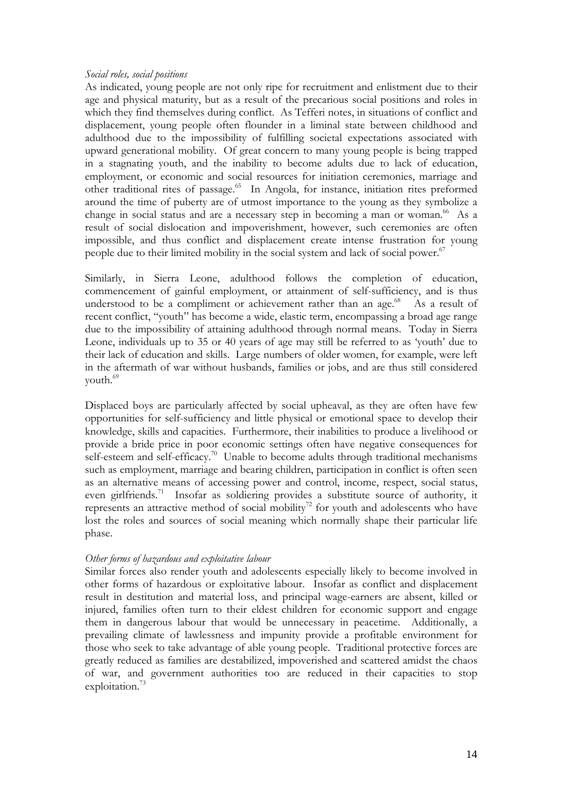#### *Social roles, social positions*

As indicated, young people are not only ripe for recruitment and enlistment due to their age and physical maturity, but as a result of the precarious social positions and roles in which they find themselves during conflict. As Tefferi notes, in situations of conflict and displacement, young people often flounder in a liminal state between childhood and adulthood due to the impossibility of fulfilling societal expectations associated with upward generational mobility. Of great concern to many young people is being trapped in a stagnating youth, and the inability to become adults due to lack of education, employment, or economic and social resources for initiation ceremonies, marriage and other traditional rites of passage.<sup>65</sup> In Angola, for instance, initiation rites preformed around the time of puberty are of utmost importance to the young as they symbolize a change in social status and are a necessary step in becoming a man or woman.<sup>66</sup> As a result of social dislocation and impoverishment, however, such ceremonies are often impossible, and thus conflict and displacement create intense frustration for young people due to their limited mobility in the social system and lack of social power.<sup>67</sup>

Similarly, in Sierra Leone, adulthood follows the completion of education, commencement of gainful employment, or attainment of self-sufficiency, and is thus understood to be a compliment or achievement rather than an age.<sup>68</sup> As a result of recent conflict, "youth" has become a wide, elastic term, encompassing a broad age range due to the impossibility of attaining adulthood through normal means. Today in Sierra Leone, individuals up to 35 or 40 years of age may still be referred to as 'youth' due to their lack of education and skills. Large numbers of older women, for example, were left in the aftermath of war without husbands, families or jobs, and are thus still considered youth.<sup>69</sup>

Displaced boys are particularly affected by social upheaval, as they are often have few opportunities for self-sufficiency and little physical or emotional space to develop their knowledge, skills and capacities. Furthermore, their inabilities to produce a livelihood or provide a bride price in poor economic settings often have negative consequences for self-esteem and self-efficacy.<sup>70</sup> Unable to become adults through traditional mechanisms such as employment, marriage and bearing children, participation in conflict is often seen as an alternative means of accessing power and control, income, respect, social status, even girlfriends.<sup>71</sup> Insofar as soldiering provides a substitute source of authority, it represents an attractive method of social mobility<sup>72</sup> for youth and adolescents who have lost the roles and sources of social meaning which normally shape their particular life phase.

#### *Other forms of hazardous and exploitative labour*

Similar forces also render youth and adolescents especially likely to become involved in other forms of hazardous or exploitative labour. Insofar as conflict and displacement result in destitution and material loss, and principal wage-earners are absent, killed or injured, families often turn to their eldest children for economic support and engage them in dangerous labour that would be unnecessary in peacetime. Additionally, a prevailing climate of lawlessness and impunity provide a profitable environment for those who seek to take advantage of able young people. Traditional protective forces are greatly reduced as families are destabilized, impoverished and scattered amidst the chaos of war, and government authorities too are reduced in their capacities to stop exploitation.<sup>73</sup>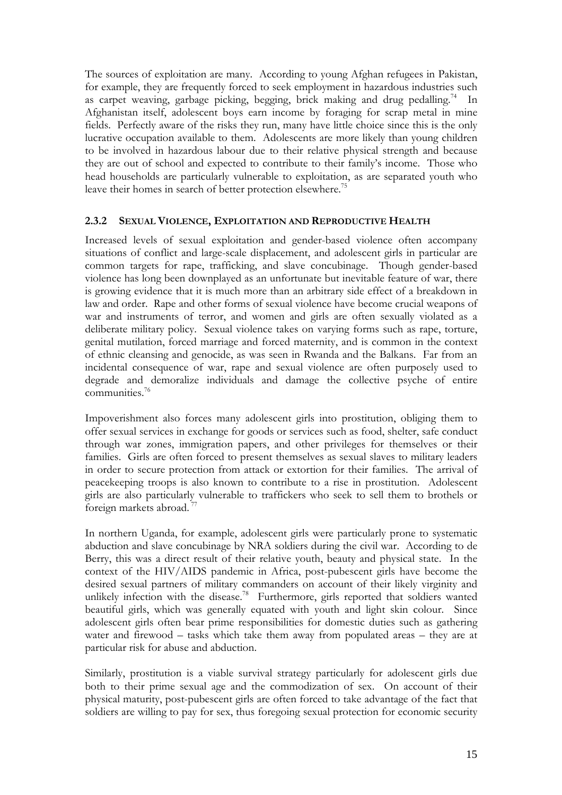The sources of exploitation are many. According to young Afghan refugees in Pakistan, for example, they are frequently forced to seek employment in hazardous industries such as carpet weaving, garbage picking, begging, brick making and drug pedalling.<sup>74</sup> In Afghanistan itself, adolescent boys earn income by foraging for scrap metal in mine fields. Perfectly aware of the risks they run, many have little choice since this is the only lucrative occupation available to them. Adolescents are more likely than young children to be involved in hazardous labour due to their relative physical strength and because they are out of school and expected to contribute to their family's income. Those who head households are particularly vulnerable to exploitation, as are separated youth who leave their homes in search of better protection elsewhere.<sup>75</sup>

#### **2.3.2 SEXUAL VIOLENCE, EXPLOITATION AND REPRODUCTIVE HEALTH**

Increased levels of sexual exploitation and gender-based violence often accompany situations of conflict and large-scale displacement, and adolescent girls in particular are common targets for rape, trafficking, and slave concubinage. Though gender-based violence has long been downplayed as an unfortunate but inevitable feature of war, there is growing evidence that it is much more than an arbitrary side effect of a breakdown in law and order. Rape and other forms of sexual violence have become crucial weapons of war and instruments of terror, and women and girls are often sexually violated as a deliberate military policy. Sexual violence takes on varying forms such as rape, torture, genital mutilation, forced marriage and forced maternity, and is common in the context of ethnic cleansing and genocide, as was seen in Rwanda and the Balkans. Far from an incidental consequence of war, rape and sexual violence are often purposely used to degrade and demoralize individuals and damage the collective psyche of entire communities. 76

Impoverishment also forces many adolescent girls into prostitution, obliging them to offer sexual services in exchange for goods or services such as food, shelter, safe conduct through war zones, immigration papers, and other privileges for themselves or their families. Girls are often forced to present themselves as sexual slaves to military leaders in order to secure protection from attack or extortion for their families. The arrival of peacekeeping troops is also known to contribute to a rise in prostitution. Adolescent girls are also particularly vulnerable to traffickers who seek to sell them to brothels or foreign markets abroad.<sup>7</sup>

In northern Uganda, for example, adolescent girls were particularly prone to systematic abduction and slave concubinage by NRA soldiers during the civil war. According to de Berry, this was a direct result of their relative youth, beauty and physical state. In the context of the HIV/AIDS pandemic in Africa, post-pubescent girls have become the desired sexual partners of military commanders on account of their likely virginity and unlikely infection with the disease.<sup>78</sup> Furthermore, girls reported that soldiers wanted beautiful girls, which was generally equated with youth and light skin colour. Since adolescent girls often bear prime responsibilities for domestic duties such as gathering water and firewood – tasks which take them away from populated areas – they are at particular risk for abuse and abduction.

Similarly, prostitution is a viable survival strategy particularly for adolescent girls due both to their prime sexual age and the commodization of sex. On account of their physical maturity, post-pubescent girls are often forced to take advantage of the fact that soldiers are willing to pay for sex, thus foregoing sexual protection for economic security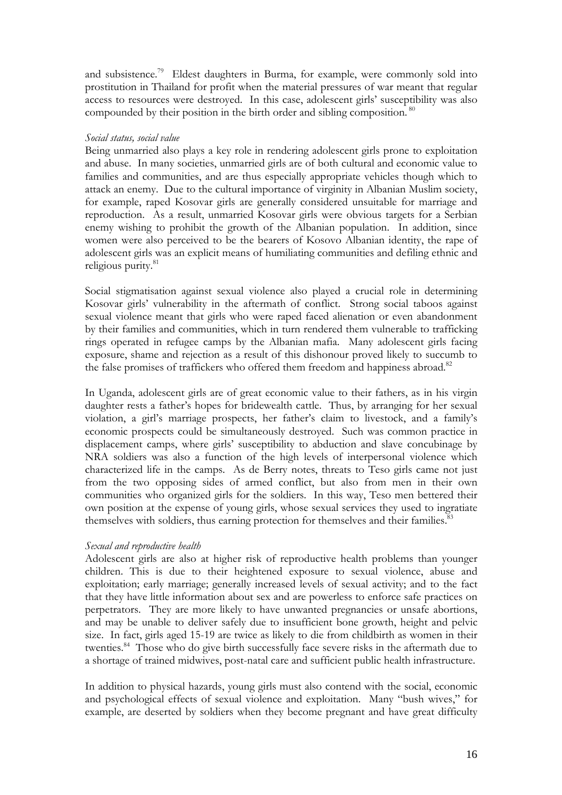and subsistence.<sup>79</sup> Eldest daughters in Burma, for example, were commonly sold into prostitution in Thailand for profit when the material pressures of war meant that regular access to resources were destroyed. In this case, adolescent girls' susceptibility was also compounded by their position in the birth order and sibling composition.<sup>80</sup>

#### *Social status, social value*

Being unmarried also plays a key role in rendering adolescent girls prone to exploitation and abuse. In many societies, unmarried girls are of both cultural and economic value to families and communities, and are thus especially appropriate vehicles though which to attack an enemy. Due to the cultural importance of virginity in Albanian Muslim society, for example, raped Kosovar girls are generally considered unsuitable for marriage and reproduction. As a result, unmarried Kosovar girls were obvious targets for a Serbian enemy wishing to prohibit the growth of the Albanian population. In addition, since women were also perceived to be the bearers of Kosovo Albanian identity, the rape of adolescent girls was an explicit means of humiliating communities and defiling ethnic and religious purity.<sup>81</sup>

Social stigmatisation against sexual violence also played a crucial role in determining Kosovar girls' vulnerability in the aftermath of conflict. Strong social taboos against sexual violence meant that girls who were raped faced alienation or even abandonment by their families and communities, which in turn rendered them vulnerable to trafficking rings operated in refugee camps by the Albanian mafia. Many adolescent girls facing exposure, shame and rejection as a result of this dishonour proved likely to succumb to the false promises of traffickers who offered them freedom and happiness abroad.<sup>82</sup>

In Uganda, adolescent girls are of great economic value to their fathers, as in his virgin daughter rests a father's hopes for bridewealth cattle. Thus, by arranging for her sexual violation, a girl's marriage prospects, her father's claim to livestock, and a family's economic prospects could be simultaneously destroyed. Such was common practice in displacement camps, where girls' susceptibility to abduction and slave concubinage by NRA soldiers was also a function of the high levels of interpersonal violence which characterized life in the camps. As de Berry notes, threats to Teso girls came not just from the two opposing sides of armed conflict, but also from men in their own communities who organized girls for the soldiers. In this way, Teso men bettered their own position at the expense of young girls, whose sexual services they used to ingratiate themselves with soldiers, thus earning protection for themselves and their families.<sup>83</sup>

#### *Sexual and reproductive health*

Adolescent girls are also at higher risk of reproductive health problems than younger children. This is due to their heightened exposure to sexual violence, abuse and exploitation; early marriage; generally increased levels of sexual activity; and to the fact that they have little information about sex and are powerless to enforce safe practices on perpetrators. They are more likely to have unwanted pregnancies or unsafe abortions, and may be unable to deliver safely due to insufficient bone growth, height and pelvic size. In fact, girls aged 15-19 are twice as likely to die from childbirth as women in their twenties.<sup>84</sup> Those who do give birth successfully face severe risks in the aftermath due to a shortage of trained midwives, post-natal care and sufficient public health infrastructure.

In addition to physical hazards, young girls must also contend with the social, economic and psychological effects of sexual violence and exploitation. Many "bush wives," for example, are deserted by soldiers when they become pregnant and have great difficulty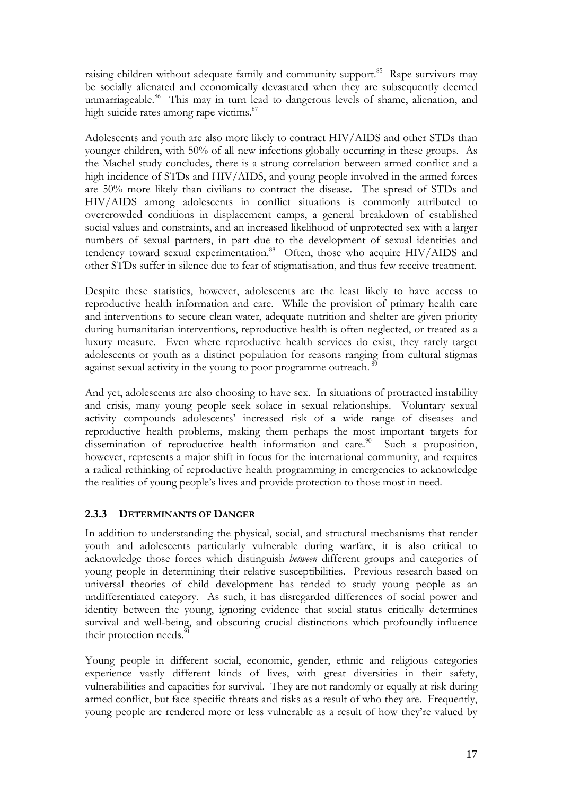raising children without adequate family and community support.<sup>85</sup> Rape survivors may be socially alienated and economically devastated when they are subsequently deemed unmarriageable.<sup>86</sup> This may in turn lead to dangerous levels of shame, alienation, and high suicide rates among rape victims.<sup>87</sup>

Adolescents and youth are also more likely to contract HIV/AIDS and other STDs than younger children, with 50% of all new infections globally occurring in these groups. As the Machel study concludes, there is a strong correlation between armed conflict and a high incidence of STDs and HIV/AIDS, and young people involved in the armed forces are 50% more likely than civilians to contract the disease. The spread of STDs and HIV/AIDS among adolescents in conflict situations is commonly attributed to overcrowded conditions in displacement camps, a general breakdown of established social values and constraints, and an increased likelihood of unprotected sex with a larger numbers of sexual partners, in part due to the development of sexual identities and tendency toward sexual experimentation.<sup>88</sup> Often, those who acquire HIV/AIDS and other STDs suffer in silence due to fear of stigmatisation, and thus few receive treatment.

Despite these statistics, however, adolescents are the least likely to have access to reproductive health information and care. While the provision of primary health care and interventions to secure clean water, adequate nutrition and shelter are given priority during humanitarian interventions, reproductive health is often neglected, or treated as a luxury measure. Even where reproductive health services do exist, they rarely target adolescents or youth as a distinct population for reasons ranging from cultural stigmas against sexual activity in the young to poor programme outreach.<sup>89</sup>

And yet, adolescents are also choosing to have sex. In situations of protracted instability and crisis, many young people seek solace in sexual relationships. Voluntary sexual activity compounds adolescents' increased risk of a wide range of diseases and reproductive health problems, making them perhaps the most important targets for dissemination of reproductive health information and care.<sup>90</sup> Such a proposition, however, represents a major shift in focus for the international community, and requires a radical rethinking of reproductive health programming in emergencies to acknowledge the realities of young people's lives and provide protection to those most in need.

#### **2.3.3 DETERMINANTS OF DANGER**

In addition to understanding the physical, social, and structural mechanisms that render youth and adolescents particularly vulnerable during warfare, it is also critical to acknowledge those forces which distinguish *between* different groups and categories of young people in determining their relative susceptibilities. Previous research based on universal theories of child development has tended to study young people as an undifferentiated category. As such, it has disregarded differences of social power and identity between the young, ignoring evidence that social status critically determines survival and well-being, and obscuring crucial distinctions which profoundly influence their protection needs.<sup>9</sup>

Young people in different social, economic, gender, ethnic and religious categories experience vastly different kinds of lives, with great diversities in their safety, vulnerabilities and capacities for survival. They are not randomly or equally at risk during armed conflict, but face specific threats and risks as a result of who they are. Frequently, young people are rendered more or less vulnerable as a result of how they're valued by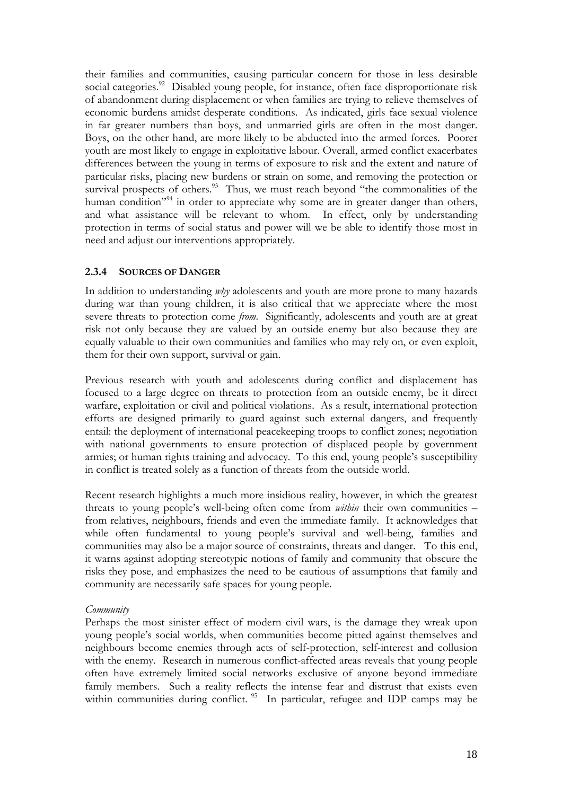their families and communities, causing particular concern for those in less desirable social categories.<sup>92</sup> Disabled young people, for instance, often face disproportionate risk of abandonment during displacement or when families are trying to relieve themselves of economic burdens amidst desperate conditions. As indicated, girls face sexual violence in far greater numbers than boys, and unmarried girls are often in the most danger. Boys, on the other hand, are more likely to be abducted into the armed forces. Poorer youth are most likely to engage in exploitative labour. Overall, armed conflict exacerbates differences between the young in terms of exposure to risk and the extent and nature of particular risks, placing new burdens or strain on some, and removing the protection or survival prospects of others.<sup>93</sup> Thus, we must reach beyond "the commonalities of the human condition<sup>"94</sup> in order to appreciate why some are in greater danger than others, and what assistance will be relevant to whom. In effect, only by understanding protection in terms of social status and power will we be able to identify those most in need and adjust our interventions appropriately.

#### **2.3.4 SOURCES OF DANGER**

In addition to understanding *why* adolescents and youth are more prone to many hazards during war than young children, it is also critical that we appreciate where the most severe threats to protection come *from*. Significantly, adolescents and youth are at great risk not only because they are valued by an outside enemy but also because they are equally valuable to their own communities and families who may rely on, or even exploit, them for their own support, survival or gain.

Previous research with youth and adolescents during conflict and displacement has focused to a large degree on threats to protection from an outside enemy, be it direct warfare, exploitation or civil and political violations. As a result, international protection efforts are designed primarily to guard against such external dangers, and frequently entail: the deployment of international peacekeeping troops to conflict zones; negotiation with national governments to ensure protection of displaced people by government armies; or human rights training and advocacy. To this end, young people's susceptibility in conflict is treated solely as a function of threats from the outside world.

Recent research highlights a much more insidious reality, however, in which the greatest threats to young people's well-being often come from *within* their own communities – from relatives, neighbours, friends and even the immediate family. It acknowledges that while often fundamental to young people's survival and well-being, families and communities may also be a major source of constraints, threats and danger. To this end, it warns against adopting stereotypic notions of family and community that obscure the risks they pose, and emphasizes the need to be cautious of assumptions that family and community are necessarily safe spaces for young people.

#### *Community*

Perhaps the most sinister effect of modern civil wars, is the damage they wreak upon young people's social worlds, when communities become pitted against themselves and neighbours become enemies through acts of self-protection, self-interest and collusion with the enemy. Research in numerous conflict-affected areas reveals that young people often have extremely limited social networks exclusive of anyone beyond immediate family members. Such a reality reflects the intense fear and distrust that exists even within communities during conflict. <sup>95</sup> In particular, refugee and IDP camps may be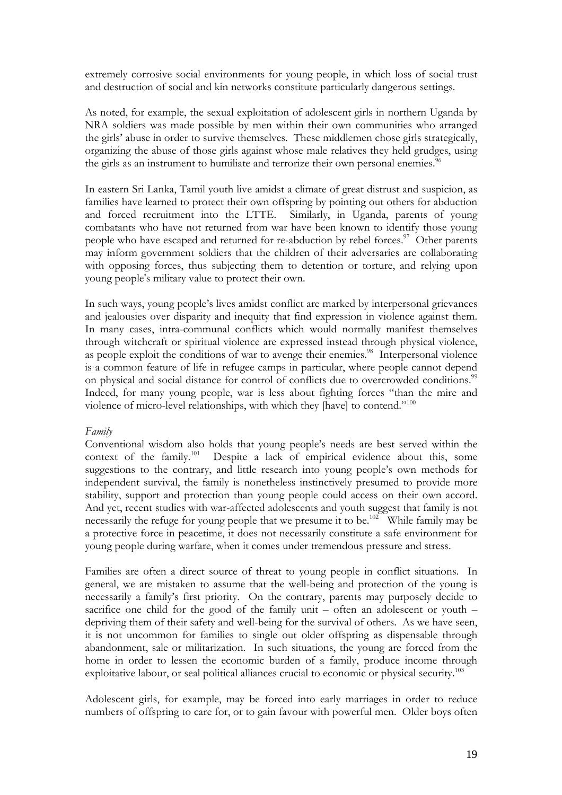extremely corrosive social environments for young people, in which loss of social trust and destruction of social and kin networks constitute particularly dangerous settings.

As noted, for example, the sexual exploitation of adolescent girls in northern Uganda by NRA soldiers was made possible by men within their own communities who arranged the girls' abuse in order to survive themselves. These middlemen chose girls strategically, organizing the abuse of those girls against whose male relatives they held grudges, using the girls as an instrument to humiliate and terrorize their own personal enemies.<sup>96</sup>

In eastern Sri Lanka, Tamil youth live amidst a climate of great distrust and suspicion, as families have learned to protect their own offspring by pointing out others for abduction and forced recruitment into the LTTE. Similarly, in Uganda, parents of young combatants who have not returned from war have been known to identify those young people who have escaped and returned for re-abduction by rebel forces.<sup>97</sup> Other parents may inform government soldiers that the children of their adversaries are collaborating with opposing forces, thus subjecting them to detention or torture, and relying upon young people's military value to protect their own.

In such ways, young people's lives amidst conflict are marked by interpersonal grievances and jealousies over disparity and inequity that find expression in violence against them. In many cases, intra-communal conflicts which would normally manifest themselves through witchcraft or spiritual violence are expressed instead through physical violence, as people exploit the conditions of war to avenge their enemies.<sup>98</sup> Interpersonal violence is a common feature of life in refugee camps in particular, where people cannot depend on physical and social distance for control of conflicts due to overcrowded conditions.<sup>99</sup> Indeed, for many young people, war is less about fighting forces "than the mire and violence of micro-level relationships, with which they [have] to contend."100

#### *Family*

Conventional wisdom also holds that young people's needs are best served within the context of the family.<sup>101</sup> Despite a lack of empirical evidence about this, some Despite a lack of empirical evidence about this, some suggestions to the contrary, and little research into young people's own methods for independent survival, the family is nonetheless instinctively presumed to provide more stability, support and protection than young people could access on their own accord. And yet, recent studies with war-affected adolescents and youth suggest that family is not necessarily the refuge for young people that we presume it to be.<sup>102</sup> While family may be a protective force in peacetime, it does not necessarily constitute a safe environment for young people during warfare, when it comes under tremendous pressure and stress.

Families are often a direct source of threat to young people in conflict situations. In general, we are mistaken to assume that the well-being and protection of the young is necessarily a family's first priority. On the contrary, parents may purposely decide to sacrifice one child for the good of the family unit – often an adolescent or youth – depriving them of their safety and well-being for the survival of others. As we have seen, it is not uncommon for families to single out older offspring as dispensable through abandonment, sale or militarization. In such situations, the young are forced from the home in order to lessen the economic burden of a family, produce income through exploitative labour, or seal political alliances crucial to economic or physical security.<sup>103</sup>

Adolescent girls, for example, may be forced into early marriages in order to reduce numbers of offspring to care for, or to gain favour with powerful men. Older boys often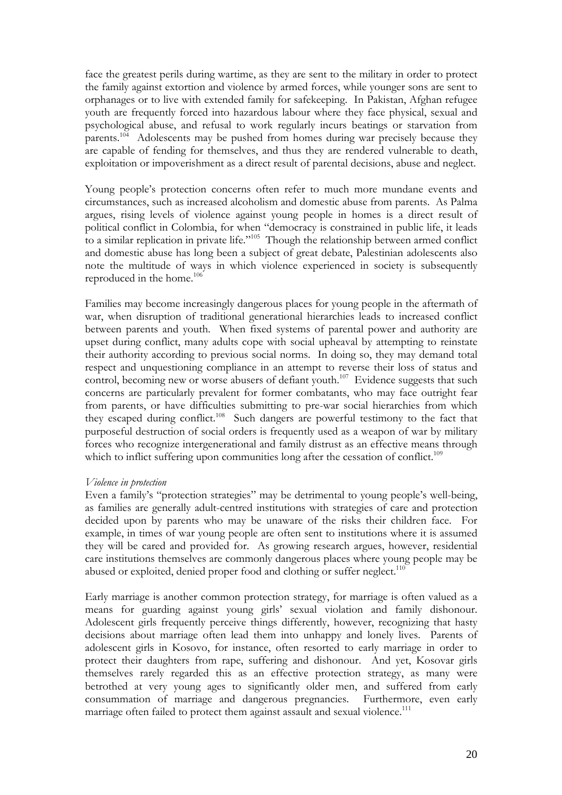face the greatest perils during wartime, as they are sent to the military in order to protect the family against extortion and violence by armed forces, while younger sons are sent to orphanages or to live with extended family for safekeeping. In Pakistan, Afghan refugee youth are frequently forced into hazardous labour where they face physical, sexual and psychological abuse, and refusal to work regularly incurs beatings or starvation from parents.<sup>104</sup> Adolescents may be pushed from homes during war precisely because they are capable of fending for themselves, and thus they are rendered vulnerable to death, exploitation or impoverishment as a direct result of parental decisions, abuse and neglect.

Young people's protection concerns often refer to much more mundane events and circumstances, such as increased alcoholism and domestic abuse from parents. As Palma argues, rising levels of violence against young people in homes is a direct result of political conflict in Colombia, for when "democracy is constrained in public life, it leads to a similar replication in private life."105 Though the relationship between armed conflict and domestic abuse has long been a subject of great debate, Palestinian adolescents also note the multitude of ways in which violence experienced in society is subsequently reproduced in the home.106

Families may become increasingly dangerous places for young people in the aftermath of war, when disruption of traditional generational hierarchies leads to increased conflict between parents and youth. When fixed systems of parental power and authority are upset during conflict, many adults cope with social upheaval by attempting to reinstate their authority according to previous social norms. In doing so, they may demand total respect and unquestioning compliance in an attempt to reverse their loss of status and control, becoming new or worse abusers of defiant youth.<sup>107</sup> Evidence suggests that such concerns are particularly prevalent for former combatants, who may face outright fear from parents, or have difficulties submitting to pre-war social hierarchies from which they escaped during conflict.<sup>108</sup> Such dangers are powerful testimony to the fact that purposeful destruction of social orders is frequently used as a weapon of war by military forces who recognize intergenerational and family distrust as an effective means through which to inflict suffering upon communities long after the cessation of conflict.<sup>109</sup>

#### *Violence in protection*

Even a family's "protection strategies" may be detrimental to young people's well-being, as families are generally adult-centred institutions with strategies of care and protection decided upon by parents who may be unaware of the risks their children face. For example, in times of war young people are often sent to institutions where it is assumed they will be cared and provided for. As growing research argues, however, residential care institutions themselves are commonly dangerous places where young people may be abused or exploited, denied proper food and clothing or suffer neglect.<sup>110</sup>

Early marriage is another common protection strategy, for marriage is often valued as a means for guarding against young girls' sexual violation and family dishonour. Adolescent girls frequently perceive things differently, however, recognizing that hasty decisions about marriage often lead them into unhappy and lonely lives. Parents of adolescent girls in Kosovo, for instance, often resorted to early marriage in order to protect their daughters from rape, suffering and dishonour. And yet, Kosovar girls themselves rarely regarded this as an effective protection strategy, as many were betrothed at very young ages to significantly older men, and suffered from early consummation of marriage and dangerous pregnancies. Furthermore, even early marriage often failed to protect them against assault and sexual violence.<sup>111</sup>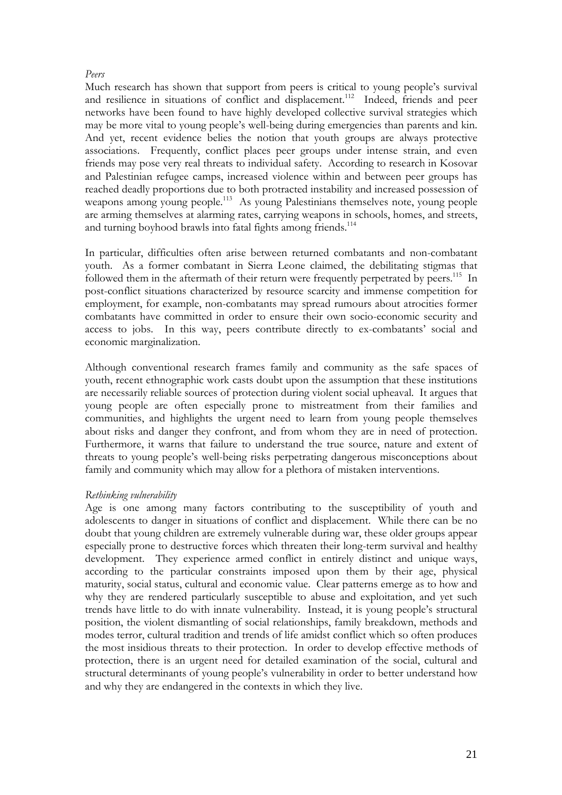#### *Peers*

Much research has shown that support from peers is critical to young people's survival and resilience in situations of conflict and displacement.<sup>112</sup> Indeed, friends and peer networks have been found to have highly developed collective survival strategies which may be more vital to young people's well-being during emergencies than parents and kin. And yet, recent evidence belies the notion that youth groups are always protective associations. Frequently, conflict places peer groups under intense strain, and even friends may pose very real threats to individual safety. According to research in Kosovar and Palestinian refugee camps, increased violence within and between peer groups has reached deadly proportions due to both protracted instability and increased possession of weapons among young people.113 As young Palestinians themselves note, young people are arming themselves at alarming rates, carrying weapons in schools, homes, and streets, and turning boyhood brawls into fatal fights among friends.<sup>114</sup>

In particular, difficulties often arise between returned combatants and non-combatant youth. As a former combatant in Sierra Leone claimed, the debilitating stigmas that followed them in the aftermath of their return were frequently perpetrated by peers.<sup>115</sup> In post-conflict situations characterized by resource scarcity and immense competition for employment, for example, non-combatants may spread rumours about atrocities former combatants have committed in order to ensure their own socio-economic security and access to jobs. In this way, peers contribute directly to ex-combatants' social and economic marginalization.

Although conventional research frames family and community as the safe spaces of youth, recent ethnographic work casts doubt upon the assumption that these institutions are necessarily reliable sources of protection during violent social upheaval. It argues that young people are often especially prone to mistreatment from their families and communities, and highlights the urgent need to learn from young people themselves about risks and danger they confront, and from whom they are in need of protection. Furthermore, it warns that failure to understand the true source, nature and extent of threats to young people's well-being risks perpetrating dangerous misconceptions about family and community which may allow for a plethora of mistaken interventions.

#### *Rethinking vulnerability*

Age is one among many factors contributing to the susceptibility of youth and adolescents to danger in situations of conflict and displacement. While there can be no doubt that young children are extremely vulnerable during war, these older groups appear especially prone to destructive forces which threaten their long-term survival and healthy development. They experience armed conflict in entirely distinct and unique ways, according to the particular constraints imposed upon them by their age, physical maturity, social status, cultural and economic value. Clear patterns emerge as to how and why they are rendered particularly susceptible to abuse and exploitation, and yet such trends have little to do with innate vulnerability. Instead, it is young people's structural position, the violent dismantling of social relationships, family breakdown, methods and modes terror, cultural tradition and trends of life amidst conflict which so often produces the most insidious threats to their protection. In order to develop effective methods of protection, there is an urgent need for detailed examination of the social, cultural and structural determinants of young people's vulnerability in order to better understand how and why they are endangered in the contexts in which they live.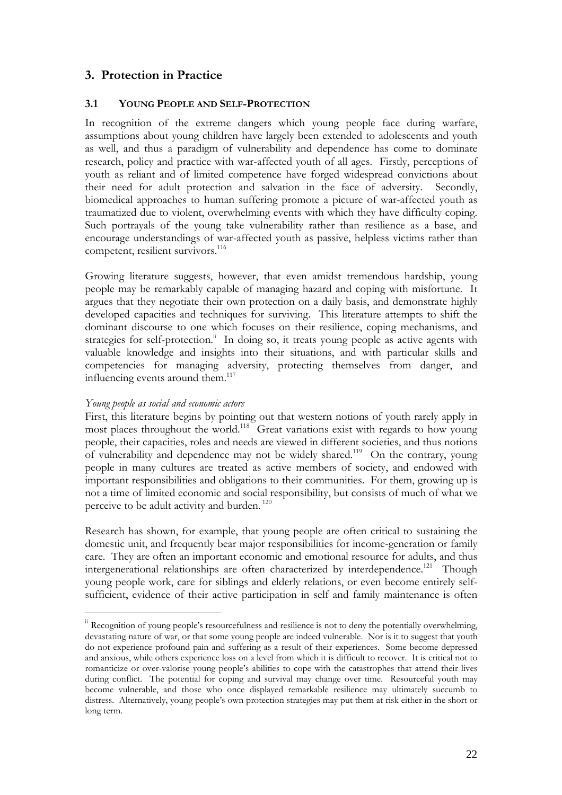## **3. Protection in Practice**

#### **3.1 YOUNG PEOPLE AND SELF-PROTECTION**

In recognition of the extreme dangers which young people face during warfare, assumptions about young children have largely been extended to adolescents and youth as well, and thus a paradigm of vulnerability and dependence has come to dominate research, policy and practice with war-affected youth of all ages. Firstly, perceptions of youth as reliant and of limited competence have forged widespread convictions about their need for adult protection and salvation in the face of adversity. Secondly, biomedical approaches to human suffering promote a picture of war-affected youth as traumatized due to violent, overwhelming events with which they have difficulty coping. Such portrayals of the young take vulnerability rather than resilience as a base, and encourage understandings of war-affected youth as passive, helpless victims rather than competent, resilient survivors.<sup>116</sup>

Growing literature suggests, however, that even amidst tremendous hardship, young people may be remarkably capable of managing hazard and coping with misfortune. It argues that they negotiate their own protection on a daily basis, and demonstrate highly developed capacities and techniques for surviving. This literature attempts to shift the dominant discourse to one which focuses on their resilience, coping mechanisms, and strategies for self-protection. $\ddot{a}$  In doing so, it treats young people as active agents with valuable knowledge and insights into their situations, and with particular skills and competencies for managing adversity, protecting themselves from danger, and influencing events around them.<sup>117</sup>

#### *Young people as social and economic actors*

 $\overline{a}$ 

First, this literature begins by pointing out that western notions of youth rarely apply in most places throughout the world.<sup>118</sup> Great variations exist with regards to how young people, their capacities, roles and needs are viewed in different societies, and thus notions of vulnerability and dependence may not be widely shared.119 On the contrary, young people in many cultures are treated as active members of society, and endowed with important responsibilities and obligations to their communities. For them, growing up is not a time of limited economic and social responsibility, but consists of much of what we perceive to be adult activity and burden.<sup>120</sup>

Research has shown, for example, that young people are often critical to sustaining the domestic unit, and frequently bear major responsibilities for income-generation or family care. They are often an important economic and emotional resource for adults, and thus intergenerational relationships are often characterized by interdependence.<sup>121</sup> Though young people work, care for siblings and elderly relations, or even become entirely selfsufficient, evidence of their active participation in self and family maintenance is often

<sup>&</sup>lt;sup>ii</sup> Recognition of young people's resourcefulness and resilience is not to deny the potentially overwhelming, devastating nature of war, or that some young people are indeed vulnerable. Nor is it to suggest that youth do not experience profound pain and suffering as a result of their experiences. Some become depressed and anxious, while others experience loss on a level from which it is difficult to recover. It is critical not to romanticize or over-valorise young people's abilities to cope with the catastrophes that attend their lives during conflict. The potential for coping and survival may change over time. Resourceful youth may become vulnerable, and those who once displayed remarkable resilience may ultimately succumb to distress. Alternatively, young people's own protection strategies may put them at risk either in the short or long term.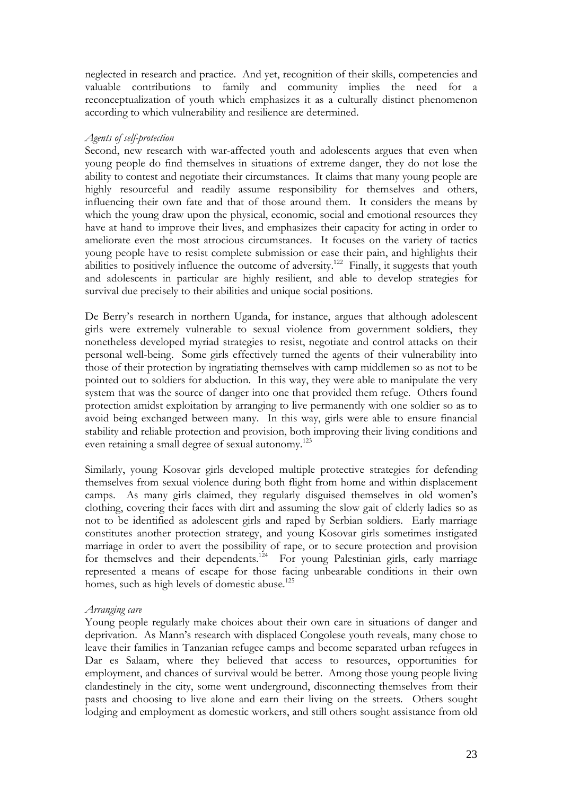neglected in research and practice. And yet, recognition of their skills, competencies and valuable contributions to family and community implies the need for a reconceptualization of youth which emphasizes it as a culturally distinct phenomenon according to which vulnerability and resilience are determined.

#### *Agents of self-protection*

Second, new research with war-affected youth and adolescents argues that even when young people do find themselves in situations of extreme danger, they do not lose the ability to contest and negotiate their circumstances. It claims that many young people are highly resourceful and readily assume responsibility for themselves and others, influencing their own fate and that of those around them. It considers the means by which the young draw upon the physical, economic, social and emotional resources they have at hand to improve their lives, and emphasizes their capacity for acting in order to ameliorate even the most atrocious circumstances. It focuses on the variety of tactics young people have to resist complete submission or ease their pain, and highlights their abilities to positively influence the outcome of adversity.<sup>122</sup> Finally, it suggests that youth and adolescents in particular are highly resilient, and able to develop strategies for survival due precisely to their abilities and unique social positions.

De Berry's research in northern Uganda, for instance, argues that although adolescent girls were extremely vulnerable to sexual violence from government soldiers, they nonetheless developed myriad strategies to resist, negotiate and control attacks on their personal well-being. Some girls effectively turned the agents of their vulnerability into those of their protection by ingratiating themselves with camp middlemen so as not to be pointed out to soldiers for abduction. In this way, they were able to manipulate the very system that was the source of danger into one that provided them refuge. Others found protection amidst exploitation by arranging to live permanently with one soldier so as to avoid being exchanged between many. In this way, girls were able to ensure financial stability and reliable protection and provision, both improving their living conditions and even retaining a small degree of sexual autonomy.<sup>123</sup>

Similarly, young Kosovar girls developed multiple protective strategies for defending themselves from sexual violence during both flight from home and within displacement camps. As many girls claimed, they regularly disguised themselves in old women's clothing, covering their faces with dirt and assuming the slow gait of elderly ladies so as not to be identified as adolescent girls and raped by Serbian soldiers. Early marriage constitutes another protection strategy, and young Kosovar girls sometimes instigated marriage in order to avert the possibility of rape, or to secure protection and provision for themselves and their dependents.<sup>124</sup> For young Palestinian girls, early marriage represented a means of escape for those facing unbearable conditions in their own homes, such as high levels of domestic abuse.<sup>125</sup>

#### *Arranging care*

Young people regularly make choices about their own care in situations of danger and deprivation. As Mann's research with displaced Congolese youth reveals, many chose to leave their families in Tanzanian refugee camps and become separated urban refugees in Dar es Salaam, where they believed that access to resources, opportunities for employment, and chances of survival would be better. Among those young people living clandestinely in the city, some went underground, disconnecting themselves from their pasts and choosing to live alone and earn their living on the streets. Others sought lodging and employment as domestic workers, and still others sought assistance from old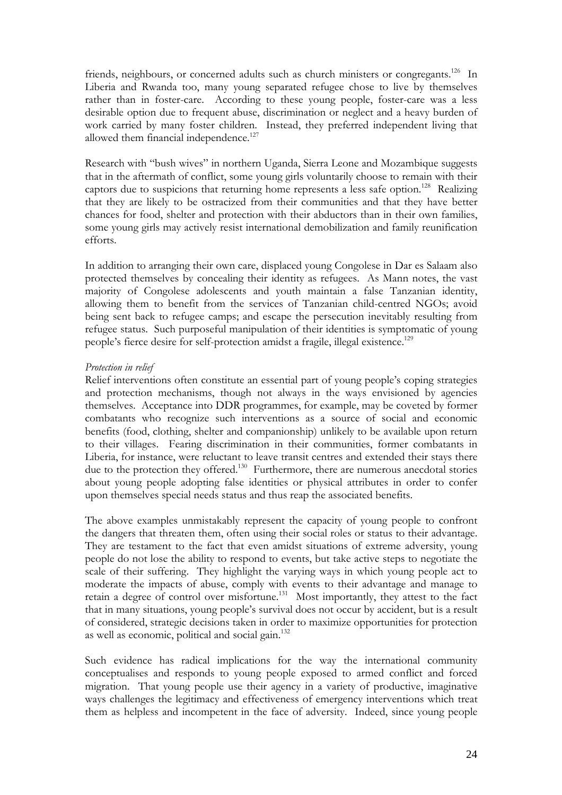friends, neighbours, or concerned adults such as church ministers or congregants.<sup>126</sup> In Liberia and Rwanda too, many young separated refugee chose to live by themselves rather than in foster-care. According to these young people, foster-care was a less desirable option due to frequent abuse, discrimination or neglect and a heavy burden of work carried by many foster children. Instead, they preferred independent living that allowed them financial independence.<sup>127</sup>

Research with "bush wives" in northern Uganda, Sierra Leone and Mozambique suggests that in the aftermath of conflict, some young girls voluntarily choose to remain with their captors due to suspicions that returning home represents a less safe option.<sup>128</sup> Realizing that they are likely to be ostracized from their communities and that they have better chances for food, shelter and protection with their abductors than in their own families, some young girls may actively resist international demobilization and family reunification efforts.

In addition to arranging their own care, displaced young Congolese in Dar es Salaam also protected themselves by concealing their identity as refugees. As Mann notes, the vast majority of Congolese adolescents and youth maintain a false Tanzanian identity, allowing them to benefit from the services of Tanzanian child-centred NGOs; avoid being sent back to refugee camps; and escape the persecution inevitably resulting from refugee status. Such purposeful manipulation of their identities is symptomatic of young people's fierce desire for self-protection amidst a fragile, illegal existence.<sup>129</sup>

#### *Protection in relief*

Relief interventions often constitute an essential part of young people's coping strategies and protection mechanisms, though not always in the ways envisioned by agencies themselves. Acceptance into DDR programmes, for example, may be coveted by former combatants who recognize such interventions as a source of social and economic benefits (food, clothing, shelter and companionship) unlikely to be available upon return to their villages. Fearing discrimination in their communities, former combatants in Liberia, for instance, were reluctant to leave transit centres and extended their stays there due to the protection they offered.<sup>130</sup> Furthermore, there are numerous anecdotal stories about young people adopting false identities or physical attributes in order to confer upon themselves special needs status and thus reap the associated benefits.

The above examples unmistakably represent the capacity of young people to confront the dangers that threaten them, often using their social roles or status to their advantage. They are testament to the fact that even amidst situations of extreme adversity, young people do not lose the ability to respond to events, but take active steps to negotiate the scale of their suffering. They highlight the varying ways in which young people act to moderate the impacts of abuse, comply with events to their advantage and manage to retain a degree of control over misfortune.<sup>131</sup> Most importantly, they attest to the fact that in many situations, young people's survival does not occur by accident, but is a result of considered, strategic decisions taken in order to maximize opportunities for protection as well as economic, political and social gain.<sup>132</sup>

Such evidence has radical implications for the way the international community conceptualises and responds to young people exposed to armed conflict and forced migration. That young people use their agency in a variety of productive, imaginative ways challenges the legitimacy and effectiveness of emergency interventions which treat them as helpless and incompetent in the face of adversity. Indeed, since young people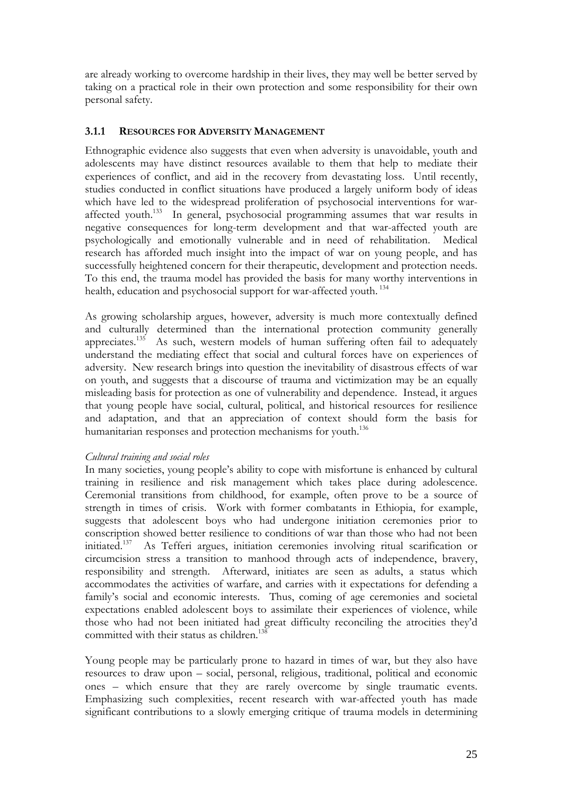are already working to overcome hardship in their lives, they may well be better served by taking on a practical role in their own protection and some responsibility for their own personal safety.

#### **3.1.1 RESOURCES FOR ADVERSITY MANAGEMENT**

Ethnographic evidence also suggests that even when adversity is unavoidable, youth and adolescents may have distinct resources available to them that help to mediate their experiences of conflict, and aid in the recovery from devastating loss. Until recently, studies conducted in conflict situations have produced a largely uniform body of ideas which have led to the widespread proliferation of psychosocial interventions for waraffected youth.133 In general, psychosocial programming assumes that war results in negative consequences for long-term development and that war-affected youth are psychologically and emotionally vulnerable and in need of rehabilitation. Medical research has afforded much insight into the impact of war on young people, and has successfully heightened concern for their therapeutic, development and protection needs. To this end, the trauma model has provided the basis for many worthy interventions in health, education and psychosocial support for war-affected youth.<sup>134</sup>

As growing scholarship argues, however, adversity is much more contextually defined and culturally determined than the international protection community generally appreciates.<sup>135</sup> As such, western models of human suffering often fail to adequately understand the mediating effect that social and cultural forces have on experiences of adversity. New research brings into question the inevitability of disastrous effects of war on youth, and suggests that a discourse of trauma and victimization may be an equally misleading basis for protection as one of vulnerability and dependence. Instead, it argues that young people have social, cultural, political, and historical resources for resilience and adaptation, and that an appreciation of context should form the basis for humanitarian responses and protection mechanisms for youth.<sup>136</sup>

#### *Cultural training and social roles*

In many societies, young people's ability to cope with misfortune is enhanced by cultural training in resilience and risk management which takes place during adolescence. Ceremonial transitions from childhood, for example, often prove to be a source of strength in times of crisis. Work with former combatants in Ethiopia, for example, suggests that adolescent boys who had undergone initiation ceremonies prior to conscription showed better resilience to conditions of war than those who had not been initiated.137 As Tefferi argues, initiation ceremonies involving ritual scarification or circumcision stress a transition to manhood through acts of independence, bravery, responsibility and strength. Afterward, initiates are seen as adults, a status which accommodates the activities of warfare, and carries with it expectations for defending a family's social and economic interests. Thus, coming of age ceremonies and societal expectations enabled adolescent boys to assimilate their experiences of violence, while those who had not been initiated had great difficulty reconciling the atrocities they'd committed with their status as children.<sup>138</sup>

Young people may be particularly prone to hazard in times of war, but they also have resources to draw upon – social, personal, religious, traditional, political and economic ones – which ensure that they are rarely overcome by single traumatic events. Emphasizing such complexities, recent research with war-affected youth has made significant contributions to a slowly emerging critique of trauma models in determining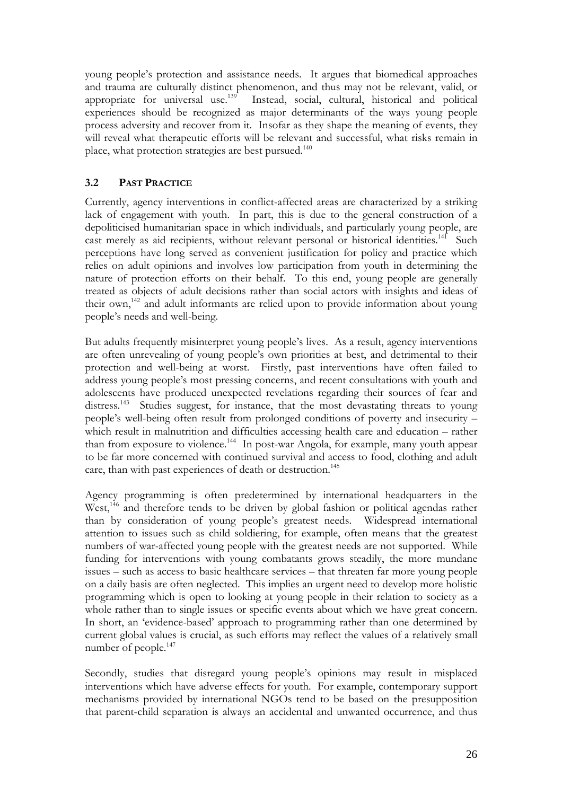young people's protection and assistance needs. It argues that biomedical approaches and trauma are culturally distinct phenomenon, and thus may not be relevant, valid, or appropriate for universal use.<sup>139</sup> Instead, social, cultural, historical and political Instead, social, cultural, historical and political experiences should be recognized as major determinants of the ways young people process adversity and recover from it. Insofar as they shape the meaning of events, they will reveal what therapeutic efforts will be relevant and successful, what risks remain in place, what protection strategies are best pursued.<sup>140</sup>

#### **3.2 PAST PRACTICE**

Currently, agency interventions in conflict-affected areas are characterized by a striking lack of engagement with youth. In part, this is due to the general construction of a depoliticised humanitarian space in which individuals, and particularly young people, are cast merely as aid recipients, without relevant personal or historical identities.<sup>141</sup> Such perceptions have long served as convenient justification for policy and practice which relies on adult opinions and involves low participation from youth in determining the nature of protection efforts on their behalf. To this end, young people are generally treated as objects of adult decisions rather than social actors with insights and ideas of their own,<sup>142</sup> and adult informants are relied upon to provide information about young people's needs and well-being.

But adults frequently misinterpret young people's lives. As a result, agency interventions are often unrevealing of young people's own priorities at best, and detrimental to their protection and well-being at worst. Firstly, past interventions have often failed to address young people's most pressing concerns, and recent consultations with youth and adolescents have produced unexpected revelations regarding their sources of fear and distress.<sup>143</sup> Studies suggest, for instance, that the most devastating threats to young people's well-being often result from prolonged conditions of poverty and insecurity – which result in malnutrition and difficulties accessing health care and education – rather than from exposure to violence.144 In post-war Angola, for example, many youth appear to be far more concerned with continued survival and access to food, clothing and adult care, than with past experiences of death or destruction.<sup>145</sup>

Agency programming is often predetermined by international headquarters in the West,<sup>146</sup> and therefore tends to be driven by global fashion or political agendas rather than by consideration of young people's greatest needs. Widespread international attention to issues such as child soldiering, for example, often means that the greatest numbers of war-affected young people with the greatest needs are not supported. While funding for interventions with young combatants grows steadily, the more mundane issues – such as access to basic healthcare services – that threaten far more young people on a daily basis are often neglected. This implies an urgent need to develop more holistic programming which is open to looking at young people in their relation to society as a whole rather than to single issues or specific events about which we have great concern. In short, an 'evidence-based' approach to programming rather than one determined by current global values is crucial, as such efforts may reflect the values of a relatively small number of people.<sup>147</sup>

Secondly, studies that disregard young people's opinions may result in misplaced interventions which have adverse effects for youth. For example, contemporary support mechanisms provided by international NGOs tend to be based on the presupposition that parent-child separation is always an accidental and unwanted occurrence, and thus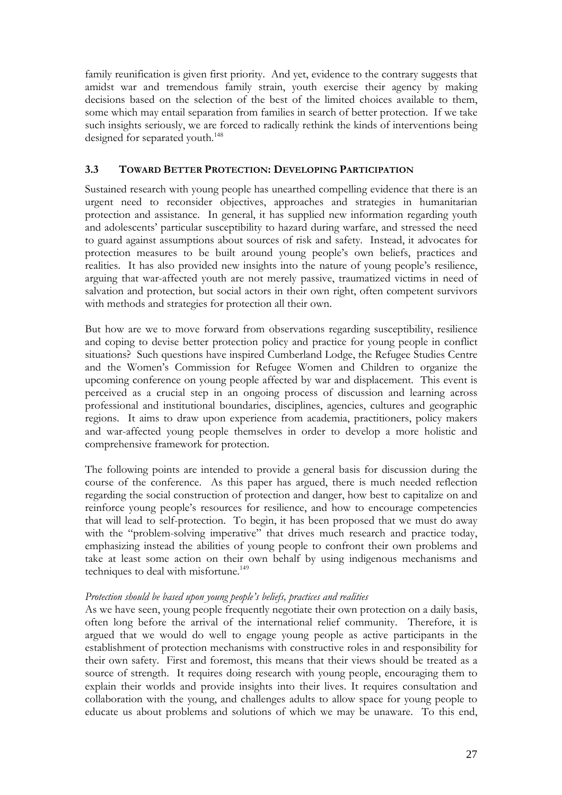family reunification is given first priority. And yet, evidence to the contrary suggests that amidst war and tremendous family strain, youth exercise their agency by making decisions based on the selection of the best of the limited choices available to them, some which may entail separation from families in search of better protection. If we take such insights seriously, we are forced to radically rethink the kinds of interventions being designed for separated youth.<sup>148</sup>

#### **3.3 TOWARD BETTER PROTECTION: DEVELOPING PARTICIPATION**

Sustained research with young people has unearthed compelling evidence that there is an urgent need to reconsider objectives, approaches and strategies in humanitarian protection and assistance. In general, it has supplied new information regarding youth and adolescents' particular susceptibility to hazard during warfare, and stressed the need to guard against assumptions about sources of risk and safety. Instead, it advocates for protection measures to be built around young people's own beliefs, practices and realities. It has also provided new insights into the nature of young people's resilience, arguing that war-affected youth are not merely passive, traumatized victims in need of salvation and protection, but social actors in their own right, often competent survivors with methods and strategies for protection all their own.

But how are we to move forward from observations regarding susceptibility, resilience and coping to devise better protection policy and practice for young people in conflict situations? Such questions have inspired Cumberland Lodge, the Refugee Studies Centre and the Women's Commission for Refugee Women and Children to organize the upcoming conference on young people affected by war and displacement. This event is perceived as a crucial step in an ongoing process of discussion and learning across professional and institutional boundaries, disciplines, agencies, cultures and geographic regions. It aims to draw upon experience from academia, practitioners, policy makers and war-affected young people themselves in order to develop a more holistic and comprehensive framework for protection.

The following points are intended to provide a general basis for discussion during the course of the conference. As this paper has argued, there is much needed reflection regarding the social construction of protection and danger, how best to capitalize on and reinforce young people's resources for resilience, and how to encourage competencies that will lead to self-protection. To begin, it has been proposed that we must do away with the "problem-solving imperative" that drives much research and practice today, emphasizing instead the abilities of young people to confront their own problems and take at least some action on their own behalf by using indigenous mechanisms and techniques to deal with misfortune.<sup>149</sup>

#### *Protection should be based upon young people's beliefs, practices and realities*

As we have seen, young people frequently negotiate their own protection on a daily basis, often long before the arrival of the international relief community. Therefore, it is argued that we would do well to engage young people as active participants in the establishment of protection mechanisms with constructive roles in and responsibility for their own safety. First and foremost, this means that their views should be treated as a source of strength. It requires doing research with young people, encouraging them to explain their worlds and provide insights into their lives. It requires consultation and collaboration with the young, and challenges adults to allow space for young people to educate us about problems and solutions of which we may be unaware. To this end,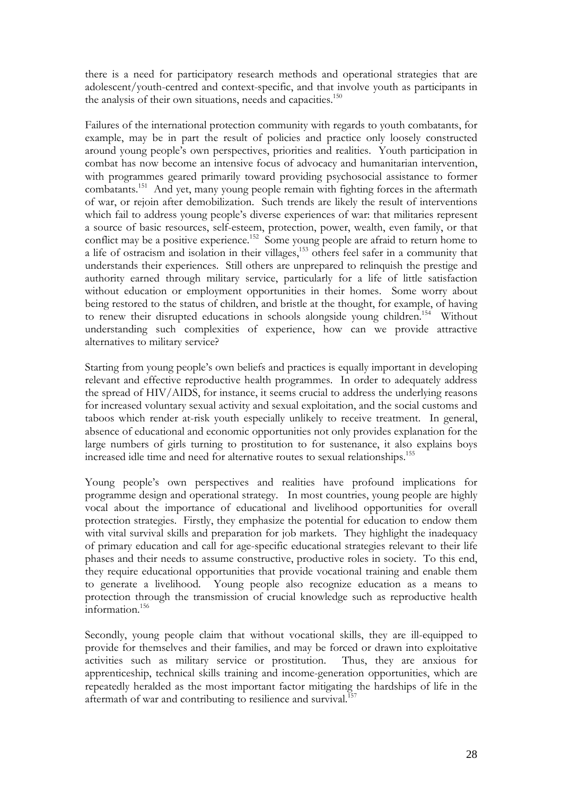there is a need for participatory research methods and operational strategies that are adolescent/youth-centred and context-specific, and that involve youth as participants in the analysis of their own situations, needs and capacities.<sup>150</sup>

Failures of the international protection community with regards to youth combatants, for example, may be in part the result of policies and practice only loosely constructed around young people's own perspectives, priorities and realities. Youth participation in combat has now become an intensive focus of advocacy and humanitarian intervention, with programmes geared primarily toward providing psychosocial assistance to former combatants.<sup>151</sup> And yet, many young people remain with fighting forces in the aftermath of war, or rejoin after demobilization. Such trends are likely the result of interventions which fail to address young people's diverse experiences of war: that militaries represent a source of basic resources, self-esteem, protection, power, wealth, even family, or that a source of basic resources, sen esteem, processor, power, wearen, even among, or home to conflict may be a positive experience.<sup>152</sup> Some young people are afraid to return home to a life of ostracism and isolation in their villages,<sup>153</sup> others feel safer in a community that understands their experiences. Still others are unprepared to relinquish the prestige and authority earned through military service, particularly for a life of little satisfaction without education or employment opportunities in their homes. Some worry about being restored to the status of children, and bristle at the thought, for example, of having to renew their disrupted educations in schools alongside young children.<sup>154</sup> Without understanding such complexities of experience, how can we provide attractive alternatives to military service?

Starting from young people's own beliefs and practices is equally important in developing relevant and effective reproductive health programmes. In order to adequately address the spread of HIV/AIDS, for instance, it seems crucial to address the underlying reasons for increased voluntary sexual activity and sexual exploitation, and the social customs and taboos which render at-risk youth especially unlikely to receive treatment. In general, absence of educational and economic opportunities not only provides explanation for the large numbers of girls turning to prostitution to for sustenance, it also explains boys increased idle time and need for alternative routes to sexual relationships.155

Young people's own perspectives and realities have profound implications for programme design and operational strategy. In most countries, young people are highly vocal about the importance of educational and livelihood opportunities for overall protection strategies. Firstly, they emphasize the potential for education to endow them with vital survival skills and preparation for job markets. They highlight the inadequacy of primary education and call for age-specific educational strategies relevant to their life phases and their needs to assume constructive, productive roles in society. To this end, they require educational opportunities that provide vocational training and enable them to generate a livelihood. Young people also recognize education as a means to protection through the transmission of crucial knowledge such as reproductive health information.156

Secondly, young people claim that without vocational skills, they are ill-equipped to provide for themselves and their families, and may be forced or drawn into exploitative activities such as military service or prostitution. Thus, they are anxious for apprenticeship, technical skills training and income-generation opportunities, which are repeatedly heralded as the most important factor mitigating the hardships of life in the aftermath of war and contributing to resilience and survival.<sup>157</sup>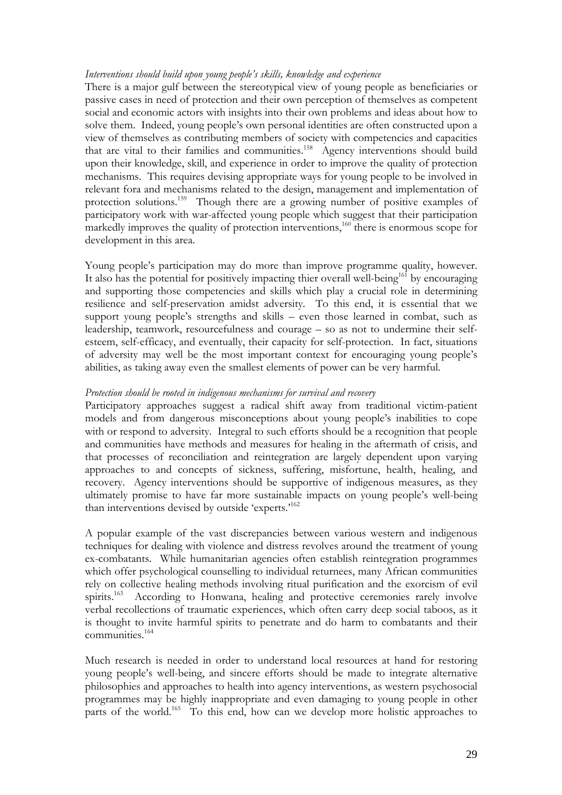#### *Interventions should build upon young people's skills, knowledge and experience*

There is a major gulf between the stereotypical view of young people as beneficiaries or passive cases in need of protection and their own perception of themselves as competent social and economic actors with insights into their own problems and ideas about how to solve them. Indeed, young people's own personal identities are often constructed upon a view of themselves as contributing members of society with competencies and capacities that are vital to their families and communities.<sup>158</sup> Agency interventions should build upon their knowledge, skill, and experience in order to improve the quality of protection mechanisms. This requires devising appropriate ways for young people to be involved in relevant fora and mechanisms related to the design, management and implementation of protection solutions.159 Though there are a growing number of positive examples of participatory work with war-affected young people which suggest that their participation markedly improves the quality of protection interventions,<sup>160</sup> there is enormous scope for development in this area.

Young people's participation may do more than improve programme quality, however. It also has the potential for positively impacting thier overall well-being<sup>161</sup> by encouraging and supporting those competencies and skills which play a crucial role in determining resilience and self-preservation amidst adversity. To this end, it is essential that we support young people's strengths and skills – even those learned in combat, such as leadership, teamwork, resourcefulness and courage – so as not to undermine their selfesteem, self-efficacy, and eventually, their capacity for self-protection. In fact, situations of adversity may well be the most important context for encouraging young people's abilities, as taking away even the smallest elements of power can be very harmful.

#### *Protection should be rooted in indigenous mechanisms for survival and recovery*

Participatory approaches suggest a radical shift away from traditional victim-patient models and from dangerous misconceptions about young people's inabilities to cope with or respond to adversity. Integral to such efforts should be a recognition that people and communities have methods and measures for healing in the aftermath of crisis, and that processes of reconciliation and reintegration are largely dependent upon varying approaches to and concepts of sickness, suffering, misfortune, health, healing, and recovery. Agency interventions should be supportive of indigenous measures, as they ultimately promise to have far more sustainable impacts on young people's well-being than interventions devised by outside 'experts.<sup>162</sup>

A popular example of the vast discrepancies between various western and indigenous techniques for dealing with violence and distress revolves around the treatment of young ex-combatants. While humanitarian agencies often establish reintegration programmes which offer psychological counselling to individual returnees, many African communities rely on collective healing methods involving ritual purification and the exorcism of evil spirits.<sup>163</sup> According to Honwana, healing and protective ceremonies rarely involve verbal recollections of traumatic experiences, which often carry deep social taboos, as it is thought to invite harmful spirits to penetrate and do harm to combatants and their communities. 164

Much research is needed in order to understand local resources at hand for restoring young people's well-being, and sincere efforts should be made to integrate alternative philosophies and approaches to health into agency interventions, as western psychosocial programmes may be highly inappropriate and even damaging to young people in other parts of the world.<sup>165</sup> To this end, how can we develop more holistic approaches to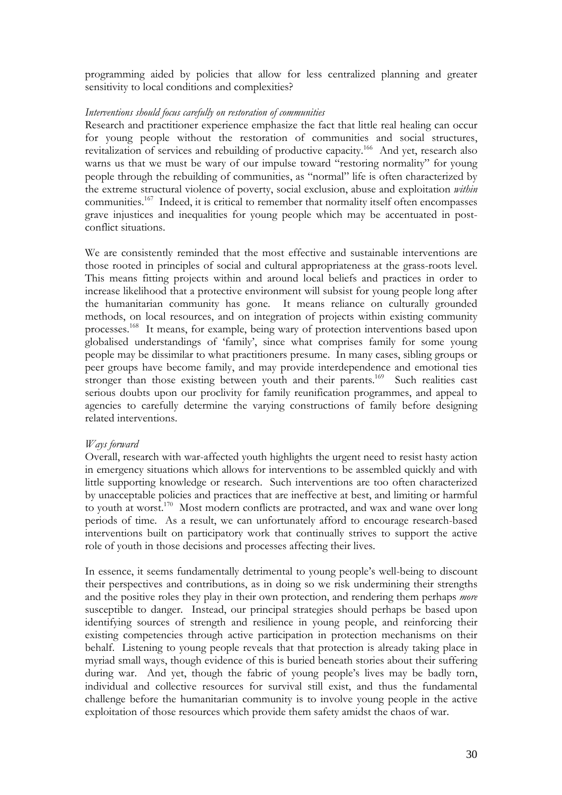programming aided by policies that allow for less centralized planning and greater sensitivity to local conditions and complexities?

#### *Interventions should focus carefully on restoration of communities*

Research and practitioner experience emphasize the fact that little real healing can occur for young people without the restoration of communities and social structures, revitalization of services and rebuilding of productive capacity.<sup>166</sup> And yet, research also warns us that we must be wary of our impulse toward "restoring normality" for young people through the rebuilding of communities, as "normal" life is often characterized by the extreme structural violence of poverty, social exclusion, abuse and exploitation *within* communities.<sup>167</sup> Indeed, it is critical to remember that normality itself often encompasses grave injustices and inequalities for young people which may be accentuated in postconflict situations.

We are consistently reminded that the most effective and sustainable interventions are those rooted in principles of social and cultural appropriateness at the grass-roots level. This means fitting projects within and around local beliefs and practices in order to increase likelihood that a protective environment will subsist for young people long after the humanitarian community has gone. It means reliance on culturally grounded methods, on local resources, and on integration of projects within existing community processes.168 It means, for example, being wary of protection interventions based upon globalised understandings of 'family', since what comprises family for some young people may be dissimilar to what practitioners presume. In many cases, sibling groups or peer groups have become family, and may provide interdependence and emotional ties stronger than those existing between youth and their parents.<sup>169</sup> Such realities cast serious doubts upon our proclivity for family reunification programmes, and appeal to agencies to carefully determine the varying constructions of family before designing related interventions.

#### *Ways forward*

Overall, research with war-affected youth highlights the urgent need to resist hasty action in emergency situations which allows for interventions to be assembled quickly and with little supporting knowledge or research. Such interventions are too often characterized by unacceptable policies and practices that are ineffective at best, and limiting or harmful to youth at worst.170 Most modern conflicts are protracted, and wax and wane over long periods of time. As a result, we can unfortunately afford to encourage research-based interventions built on participatory work that continually strives to support the active role of youth in those decisions and processes affecting their lives.

In essence, it seems fundamentally detrimental to young people's well-being to discount their perspectives and contributions, as in doing so we risk undermining their strengths and the positive roles they play in their own protection, and rendering them perhaps *more* susceptible to danger. Instead, our principal strategies should perhaps be based upon identifying sources of strength and resilience in young people, and reinforcing their existing competencies through active participation in protection mechanisms on their behalf. Listening to young people reveals that that protection is already taking place in myriad small ways, though evidence of this is buried beneath stories about their suffering during war. And yet, though the fabric of young people's lives may be badly torn, individual and collective resources for survival still exist, and thus the fundamental challenge before the humanitarian community is to involve young people in the active exploitation of those resources which provide them safety amidst the chaos of war.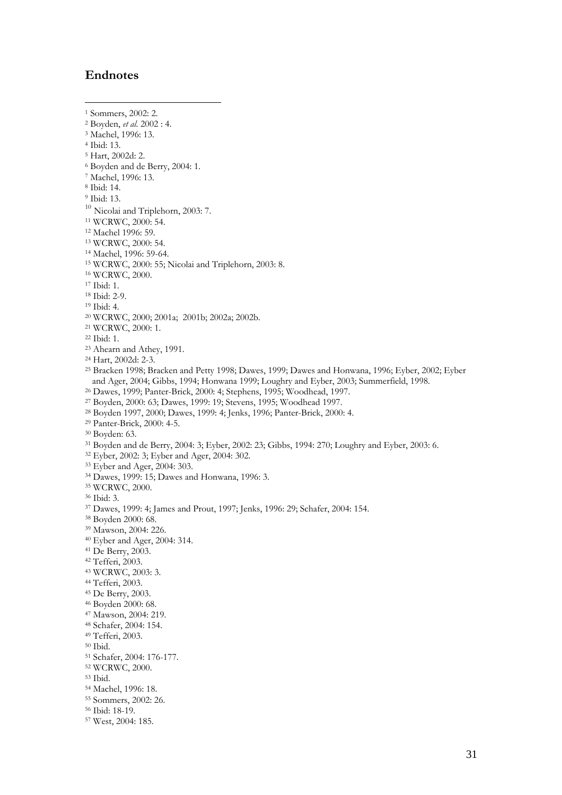#### **Endnotes**

 $\overline{a}$ 1 Sommers, 2002: 2. 2 Boyden, *et al*. 2002 : 4. 3 Machel, 1996: 13. 4 Ibid: 13. 5 Hart, 2002d: 2. 6 Boyden and de Berry, 2004: 1. 7 Machel, 1996: 13. 8 Ibid: 14. 9 Ibid: 13. <sup>10</sup> Nicolai and Triplehorn, 2003: 7. 11 WCRWC, 2000: 54.<br>
<sup>12</sup> Machel 1996: 59.<br>
<sup>13</sup> WCRWC, 2000: 54.<br>
<sup>14</sup> Machel, 1996: 59-64.<br>
<sup>15</sup> WCRWC, 2000: 55; Nicolai and Triplehorn, 2003: 8.<br>
<sup>16</sup> WCRWC, 2000.<br>
<sup>17</sup> Ibid: 1. 18 Ibid: 2-9. 19 Ibid: 4. 20 WCRWC, 2000; 2001a; 2001b; 2002a; 2002b.<br>
<sup>21</sup> WCRWC, 2000: 1.<br>
<sup>22</sup> Ibid: 1. 23 Ahearn and Athey, 1991. 24 Hart, 2002d: 2-3.25 Bracken 1998; Bracken and Petty 1998; Dawes, 1999; Dawes and Honwana, 1996; Eyber, 2002; Eyber and Ager, 2004; Gibbs, 1994; Honwana 1999; Loughry and Eyber, 2003; Summerfield, 1998.<br><sup>26</sup> Dawes, 1999; Panter-Brick, 2000: 4; Stephens, 1995; Woodhead, 1997.<br><sup>27</sup> Boyden, 2000: 63; Dawes, 1999: 19; Stevens, 1995; Woodhea <sup>31</sup> Boyden and de Berry, 2004: 3; Eyber, 2002: 23; Gibbs, 1994: 270; Loughry and Eyber, 2003: 6.<br><sup>32</sup> Eyber, 2002: 3; Eyber and Ager, 2004: 302.<br><sup>33</sup> Eyber and Ager, 2004: 303.<br><sup>34</sup> Dawes, 1999: 15; Dawes and Honwana, 199 37 Dawes, 1999: 4; James and Prout, 1997; Jenks, 1996: 29; Schafer, 2004: 154. 38 Boyden 2000: 68. 39 Mawson, 2004: 226. 40 Eyber and Ager, 2004: 314. 41 De Berry, 2003. 42 Tefferi, 2003. 43 WCRWC, 2003: 3. 44 Tefferi, 2003. <sup>46</sup> Boyden 2000: 68.<br><sup>47</sup> Mawson, 2004: 219. 48 Schafer, 2004: 154. 49 Tefferi, 2003. 50 Ibid. 51 Schafer, 2004: 176-177. 52 WCRWC, 2000. 53 Ibid. 54 Machel, 1996: 18. 55 Sommers, 2002: 26. 56 Ibid: 18-19.

57 West, 2004: 185.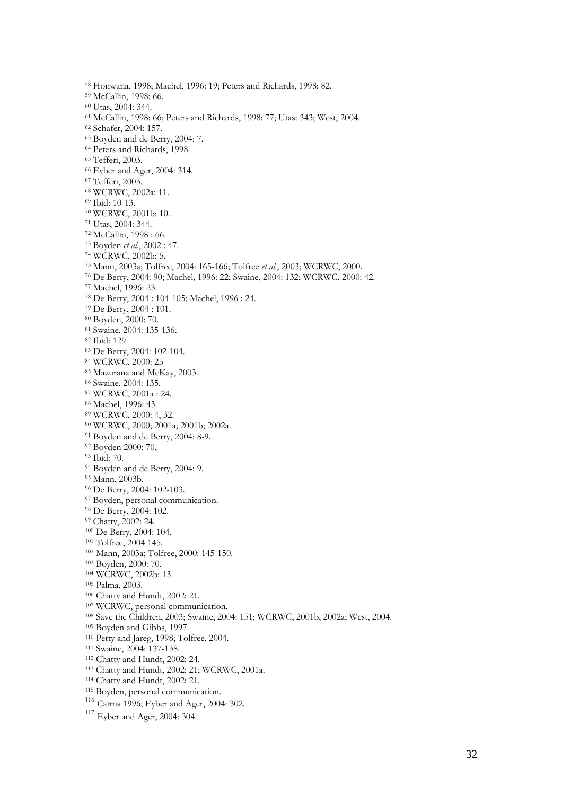58 Honwana, 1998; Machel, 1996: 19; Peters and Richards, 1998: 82. 59 McCallin, 1998: 66. <sup>61</sup> McCallin, 1998: 66; Peters and Richards, 1998: 77; Utas: 343; West, 2004.<br><sup>62</sup> Schafer, 2004: 157.<br><sup>63</sup> Boyden and de Berry, 2004: 7. 64 Peters and Richards, 1998. 65 Tefferi, 2003. 66 Eyber and Ager, 2004: 314. 67 Tefferi, 2003. 68 WCRWC, 2002a: 11. 69 Ibid: 10-13. <sup>70</sup> WCRWC, 2001b: 10.<br><sup>71</sup> Utas, 2004: 344.<br><sup>72</sup> McCallin, 1998 : 66.<br><sup>73</sup> Boyden *et al.*, 2002 : 47.<br><sup>74</sup> WCRWC, 2002b: 5.<br><sup>75</sup> Mann, 2003a; Tolfree, 2004: 165-166; Tolfree *et al.*, 2003; WCRWC, 2000.<br><sup>76</sup> De Berry, 20 <sup>83</sup> De Berry, 2004: 102-104.<br><sup>84</sup> WCRWC, 2000: 25<br><sup>85</sup> Mazurana and McKay, 2003.<br><sup>86</sup> Swaine, 2004: 135.<br><sup>87</sup> WCRWC, 2001a : 24.<br><sup>88</sup> Machel, 1996: 43.<br><sup>89</sup> WCRWC, 2000: 4, 32.<br><sup>90</sup> WCRWC, 2000; 2001a; 2001b; 2002a.<br><sup>91</sup> 94 Boyden and de Berry, 2004: 9. 95 Mann, 2003b. <sup>96</sup> De Berry, 2004: 102-103.<br><sup>97</sup> Boyden, personal communication.<br><sup>99</sup> Be Berry, 2004: 102.<br><sup>99</sup> Chatty, 2002: 24.<br><sup>109</sup> Dchatty, 2002: 24.<br><sup>109</sup> De Berry, 2004: 104.<br><sup>101</sup> Tolfree, 2004 145.<br><sup>103</sup> Boyden, 2000: 70.<br><sup>104</sup> <sup>116</sup> Cairns 1996; Eyber and Ager, 2004: 302.

<sup>117</sup> Eyber and Ager, 2004: 304.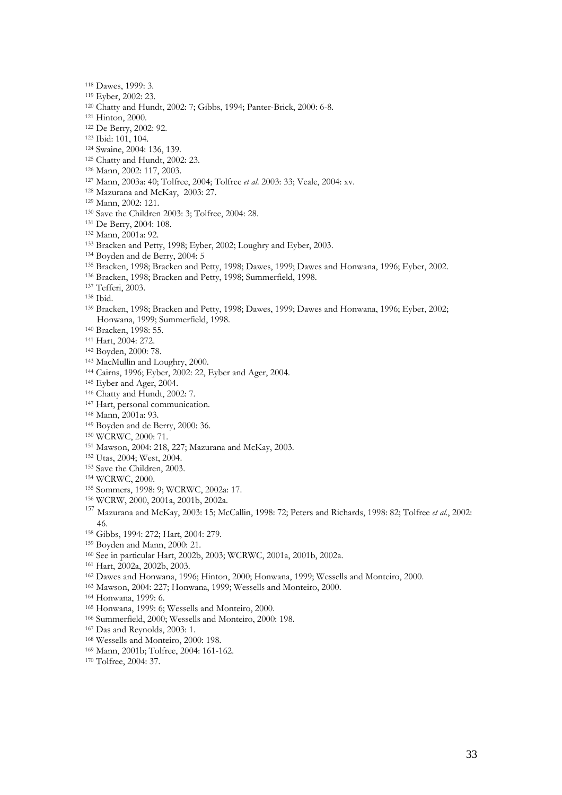- 
- 
- 
- 
- 
- 
- 
- 
- 
- 
- 
- 
- 
- 
- 
- 
- 
- <sup>118</sup> Dawes, 1999: 3.<br>
<sup>118</sup> Eyber, 2002: 23.<br>
<sup>120</sup> Eyber, 2002: 23.<br>
<sup>120</sup> Echatty and Hundt, 2002: 7; Gibbs, 1994; Panter-Brick, 2000: 6-8.<br>
<sup>121</sup> EB Erery, 2000:<br>
<sup>123</sup> Eb Erery, 2002: 92.<br>
<sup>123</sup> Eakity and Hundt, 2002
- 
- 
- 
- Honwana, 1999; Summerfield, 1998.<br><sup>140</sup> Bracken, 1998: 55.<br><sup>141</sup> Hart, 2004: 272.<br><sup>142</sup> Boyden, 2000: 78.<br><sup>143</sup> MacMullin and Loughry, 2000.<br><sup>144</sup> Cairns, 1996; Eyber, 2002: 22, Eyber and Ager, 2004.<br><sup>145</sup> Eyber and Ager,
- 
- 
- 
- 
- 
- 
- 
- <sup>147</sup> Hart, personal communication.<br><sup>148</sup> Mann, 2001a: 93.
- 
- 
- 
- <sup>149</sup> Boyden and de Berry, 2000: 36.<br><sup>150</sup> WCRWC, 2000: 71.<br><sup>151</sup> Mawson, 2004: 218, 227; Mazurana and McKay, 2003.<br><sup>152</sup> Utas, 2004; West, 2004.<br><sup>153</sup> Save the Children, 2003.<br><sup>154</sup> WCRWC, 2000.<br><sup>154</sup> WCRWC, 2000.<br><sup>154</sup> W
- 
- 
- 
- 
- 
- <sup>157</sup> Mazurana and McKay, 2003: 15; McCallin, 1998: 72; Peters and Richards, 1998: 82; Tolfree *et al.*, 2002: 46.<br><sup>158</sup> Gibbs, 1994: 272; Hart, 2004: 279.
- 
- 
- 
- 
- <sup>159</sup> Boyden and Mann, 2000: 21.<br><sup>160</sup> See in particular Hart, 2002b, 2003; WCRWC, 2001a, 2001b, 2002a.<br><sup>161</sup> Hart, 2002a, 2002b, 2003.<br><sup>162</sup> Dawes and Honwana, 1996; Hinton, 2000; Honwana, 1999; Wessells and Monteiro, 200
- 
- 
- 
- <sup>164</sup> Honwana, 1999: 6.<br><sup>165</sup> Honwana, 1999: 6; Wessells and Monteiro, 2000.<br><sup>166</sup> Summerfield, 2000; Wessells and Monteiro, 2000: 198.<br><sup>167</sup> Das and Reynolds, 2003: 1.<br><sup>168</sup> Wessells and Monteiro, 2000: 198.<br><sup>169</sup> Mann, 2
- 
- 
- 
-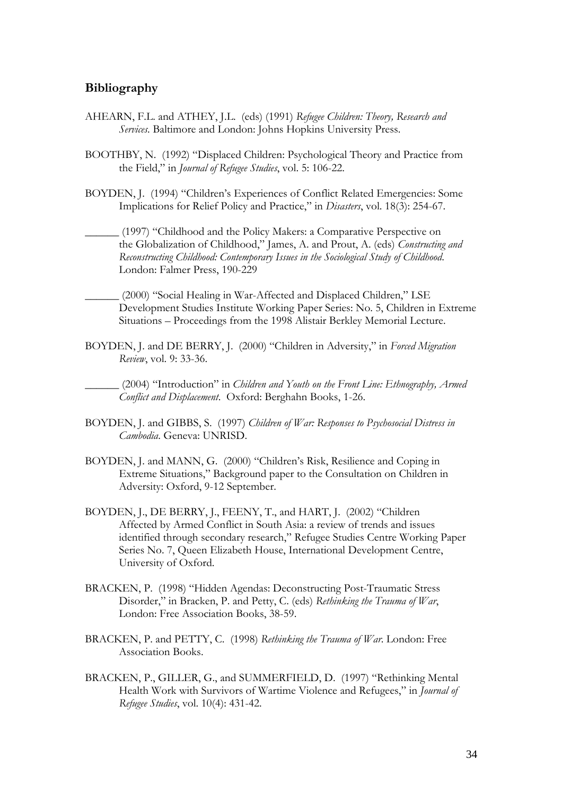#### **Bibliography**

- AHEARN, F.L. and ATHEY, J.L. (eds) (1991) *Refugee Children: Theory, Research and Services*. Baltimore and London: Johns Hopkins University Press.
- BOOTHBY, N. (1992) "Displaced Children: Psychological Theory and Practice from the Field," in *Journal of Refugee Studies*, vol. 5: 106-22.
- BOYDEN, J. (1994) "Children's Experiences of Conflict Related Emergencies: Some Implications for Relief Policy and Practice," in *Disasters*, vol. 18(3): 254-67.
	- \_\_\_\_\_\_ (1997) "Childhood and the Policy Makers: a Comparative Perspective on the Globalization of Childhood," James, A. and Prout, A. (eds) *Constructing and Reconstructing Childhood: Contemporary Issues in the Sociological Study of Childhood*. London: Falmer Press, 190-229
- \_\_\_\_\_\_ (2000) "Social Healing in War-Affected and Displaced Children," LSE Development Studies Institute Working Paper Series: No. 5, Children in Extreme Situations – Proceedings from the 1998 Alistair Berkley Memorial Lecture.
- BOYDEN, J. and DE BERRY, J. (2000) "Children in Adversity," in *Forced Migration Review*, vol. 9: 33-36.

\_\_\_\_\_\_ (2004) "Introduction" in *Children and Youth on the Front Line: Ethnography, Armed Conflict and Displacement*. Oxford: Berghahn Books, 1-26.

- BOYDEN, J. and GIBBS, S. (1997) *Children of War: Responses to Psychosocial Distress in Cambodia*. Geneva: UNRISD.
- BOYDEN, J. and MANN, G. (2000) "Children's Risk, Resilience and Coping in Extreme Situations," Background paper to the Consultation on Children in Adversity: Oxford, 9-12 September.
- BOYDEN, J., DE BERRY, J., FEENY, T., and HART, J. (2002) "Children Affected by Armed Conflict in South Asia: a review of trends and issues identified through secondary research," Refugee Studies Centre Working Paper Series No. 7, Queen Elizabeth House, International Development Centre, University of Oxford.
- BRACKEN, P. (1998) "Hidden Agendas: Deconstructing Post-Traumatic Stress Disorder," in Bracken, P. and Petty, C. (eds) *Rethinking the Trauma of War*, London: Free Association Books, 38-59.
- BRACKEN, P. and PETTY, C. (1998) *Rethinking the Trauma of War*. London: Free Association Books.
- BRACKEN, P., GILLER, G., and SUMMERFIELD, D. (1997) "Rethinking Mental Health Work with Survivors of Wartime Violence and Refugees," in *Journal of Refugee Studies*, vol. 10(4): 431-42.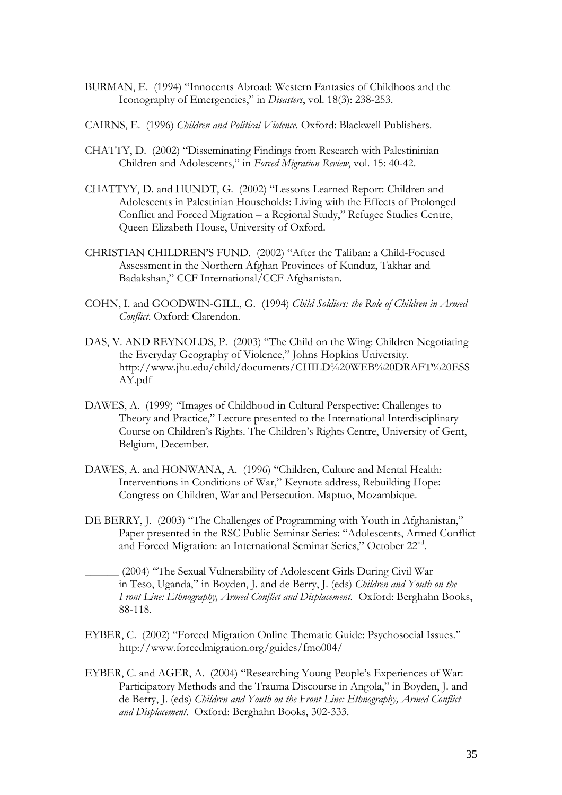- BURMAN, E. (1994) "Innocents Abroad: Western Fantasies of Childhoos and the Iconography of Emergencies," in *Disasters*, vol. 18(3): 238-253.
- CAIRNS, E. (1996) *Children and Political Violence*. Oxford: Blackwell Publishers.
- CHATTY, D. (2002) "Disseminating Findings from Research with Palestininian Children and Adolescents," in *Forced Migration Review*, vol. 15: 40-42.
- CHATTYY, D. and HUNDT, G. (2002) "Lessons Learned Report: Children and Adolescents in Palestinian Households: Living with the Effects of Prolonged Conflict and Forced Migration – a Regional Study," Refugee Studies Centre, Queen Elizabeth House, University of Oxford.
- CHRISTIAN CHILDREN'S FUND. (2002) "After the Taliban: a Child-Focused Assessment in the Northern Afghan Provinces of Kunduz, Takhar and Badakshan," CCF International/CCF Afghanistan.
- COHN, I. and GOODWIN-GILL, G. (1994) *Child Soldiers: the Role of Children in Armed Conflict*. Oxford: Clarendon.
- DAS, V. AND REYNOLDS, P. (2003) "The Child on the Wing: Children Negotiating the Everyday Geography of Violence," Johns Hopkins University. http://www.jhu.edu/child/documents/CHILD%20WEB%20DRAFT%20ESS AY.pdf
- DAWES, A. (1999) "Images of Childhood in Cultural Perspective: Challenges to Theory and Practice," Lecture presented to the International Interdisciplinary Course on Children's Rights. The Children's Rights Centre, University of Gent, Belgium, December.
- DAWES, A. and HONWANA, A. (1996) "Children, Culture and Mental Health: Interventions in Conditions of War," Keynote address, Rebuilding Hope: Congress on Children, War and Persecution. Maptuo, Mozambique.
- DE BERRY, J. (2003) "The Challenges of Programming with Youth in Afghanistan," Paper presented in the RSC Public Seminar Series: "Adolescents, Armed Conflict and Forced Migration: an International Seminar Series," October 22nd.
- \_\_\_\_\_\_ (2004) "The Sexual Vulnerability of Adolescent Girls During Civil War in Teso, Uganda," in Boyden, J. and de Berry, J. (eds) *Children and Youth on the Front Line: Ethnography, Armed Conflict and Displacement*. Oxford: Berghahn Books, 88-118.
- EYBER, C. (2002) "Forced Migration Online Thematic Guide: Psychosocial Issues." http://www.forcedmigration.org/guides/fmo004/
- EYBER, C. and AGER, A. (2004) "Researching Young People's Experiences of War: Participatory Methods and the Trauma Discourse in Angola," in Boyden, J. and de Berry, J. (eds) *Children and Youth on the Front Line: Ethnography, Armed Conflict and Displacement*. Oxford: Berghahn Books, 302-333.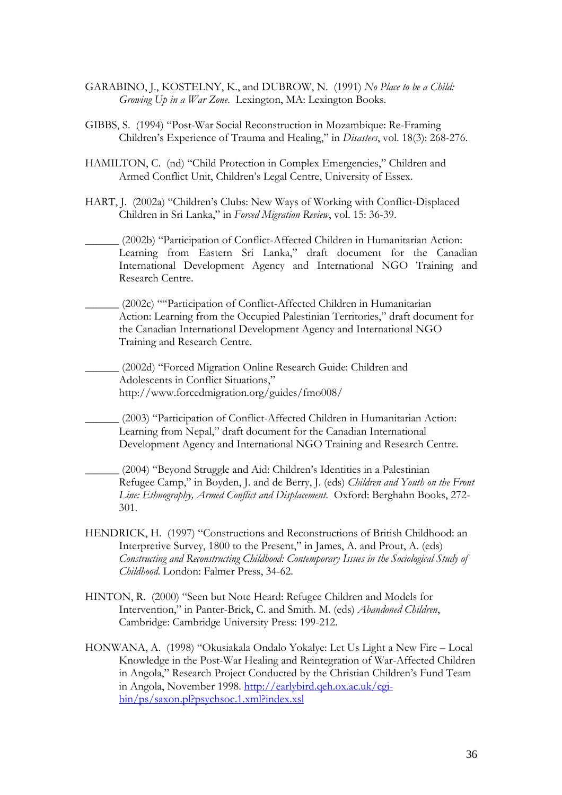- GARABINO, J., KOSTELNY, K., and DUBROW, N. (1991) *No Place to be a Child: Growing Up in a War Zone*. Lexington, MA: Lexington Books.
- GIBBS, S. (1994) "Post-War Social Reconstruction in Mozambique: Re-Framing Children's Experience of Trauma and Healing," in *Disasters*, vol. 18(3): 268-276.
- HAMILTON, C. (nd) "Child Protection in Complex Emergencies," Children and Armed Conflict Unit, Children's Legal Centre, University of Essex.
- HART, J. (2002a) "Children's Clubs: New Ways of Working with Conflict-Displaced Children in Sri Lanka," in *Forced Migration Review*, vol. 15: 36-39.
	- \_\_\_\_\_\_ (2002b) "Participation of Conflict-Affected Children in Humanitarian Action: Learning from Eastern Sri Lanka," draft document for the Canadian International Development Agency and International NGO Training and Research Centre.
	- \_\_\_\_\_\_ (2002c) ""Participation of Conflict-Affected Children in Humanitarian Action: Learning from the Occupied Palestinian Territories," draft document for the Canadian International Development Agency and International NGO Training and Research Centre.
	- \_\_\_\_\_\_ (2002d) "Forced Migration Online Research Guide: Children and Adolescents in Conflict Situations," http://www.forcedmigration.org/guides/fmo008/
		- \_\_\_\_\_\_ (2003) "Participation of Conflict-Affected Children in Humanitarian Action: Learning from Nepal," draft document for the Canadian International Development Agency and International NGO Training and Research Centre.
	- \_\_\_\_\_\_ (2004) "Beyond Struggle and Aid: Children's Identities in a Palestinian Refugee Camp," in Boyden, J. and de Berry, J. (eds) *Children and Youth on the Front Line: Ethnography, Armed Conflict and Displacement*. Oxford: Berghahn Books, 272- 301.
- HENDRICK, H. (1997) "Constructions and Reconstructions of British Childhood: an Interpretive Survey, 1800 to the Present," in James, A. and Prout, A. (eds) *Constructing and Reconstructing Childhood: Contemporary Issues in the Sociological Study of Childhood*. London: Falmer Press, 34-62.
- HINTON, R. (2000) "Seen but Note Heard: Refugee Children and Models for Intervention," in Panter-Brick, C. and Smith. M. (eds) *Abandoned Children*, Cambridge: Cambridge University Press: 199-212.
- HONWANA, A. (1998) "Okusiakala Ondalo Yokalye: Let Us Light a New Fire Local Knowledge in the Post-War Healing and Reintegration of War-Affected Children in Angola," Research Project Conducted by the Christian Children's Fund Team in Angola, November 1998. http://earlybird.qeh.ox.ac.uk/cgibin/ps/saxon.pl?psychsoc.1.xml?index.xsl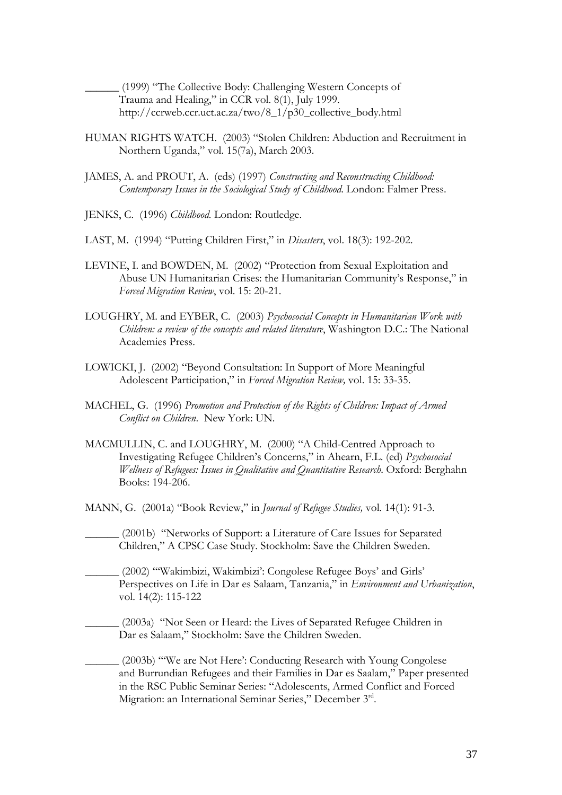\_\_\_\_\_\_ (1999) "The Collective Body: Challenging Western Concepts of Trauma and Healing," in CCR vol. 8(1), July 1999. http://ccrweb.ccr.uct.ac.za/two/8\_1/p30\_collective\_body.html

- HUMAN RIGHTS WATCH. (2003) "Stolen Children: Abduction and Recruitment in Northern Uganda," vol. 15(7a), March 2003.
- JAMES, A. and PROUT, A. (eds) (1997) *Constructing and Reconstructing Childhood: Contemporary Issues in the Sociological Study of Childhood*. London: Falmer Press.
- JENKS, C. (1996) *Childhood.* London: Routledge.
- LAST, M. (1994) "Putting Children First," in *Disasters*, vol. 18(3): 192-202.
- LEVINE, I. and BOWDEN, M. (2002) "Protection from Sexual Exploitation and Abuse UN Humanitarian Crises: the Humanitarian Community's Response," in *Forced Migration Review*, vol. 15: 20-21.
- LOUGHRY, M. and EYBER, C. (2003) *Psychosocial Concepts in Humanitarian Work with Children: a review of the concepts and related literature*, Washington D.C.: The National Academies Press.
- LOWICKI, J. (2002) "Beyond Consultation: In Support of More Meaningful Adolescent Participation," in *Forced Migration Review,* vol. 15: 33-35.
- MACHEL, G. (1996) *Promotion and Protection of the Rights of Children: Impact of Armed Conflict on Children*. New York: UN.
- MACMULLIN, C. and LOUGHRY, M. (2000) "A Child-Centred Approach to Investigating Refugee Children's Concerns," in Ahearn, F.L. (ed) *Psychosocial Wellness of Refugees: Issues in Qualitative and Quantitative Research*. Oxford: Berghahn Books: 194-206.
- MANN, G. (2001a) "Book Review," in *Journal of Refugee Studies,* vol. 14(1): 91-3.
- \_\_\_\_\_\_ (2001b) "Networks of Support: a Literature of Care Issues for Separated Children," A CPSC Case Study. Stockholm: Save the Children Sweden.
- \_\_\_\_\_\_ (2002) "'Wakimbizi, Wakimbizi': Congolese Refugee Boys' and Girls' Perspectives on Life in Dar es Salaam, Tanzania," in *Environment and Urbanization*, vol. 14(2): 115-122
- \_\_\_\_\_\_ (2003a) "Not Seen or Heard: the Lives of Separated Refugee Children in Dar es Salaam," Stockholm: Save the Children Sweden.

\_\_\_\_\_\_ (2003b) "'We are Not Here': Conducting Research with Young Congolese and Burrundian Refugees and their Families in Dar es Saalam," Paper presented in the RSC Public Seminar Series: "Adolescents, Armed Conflict and Forced Migration: an International Seminar Series," December 3rd.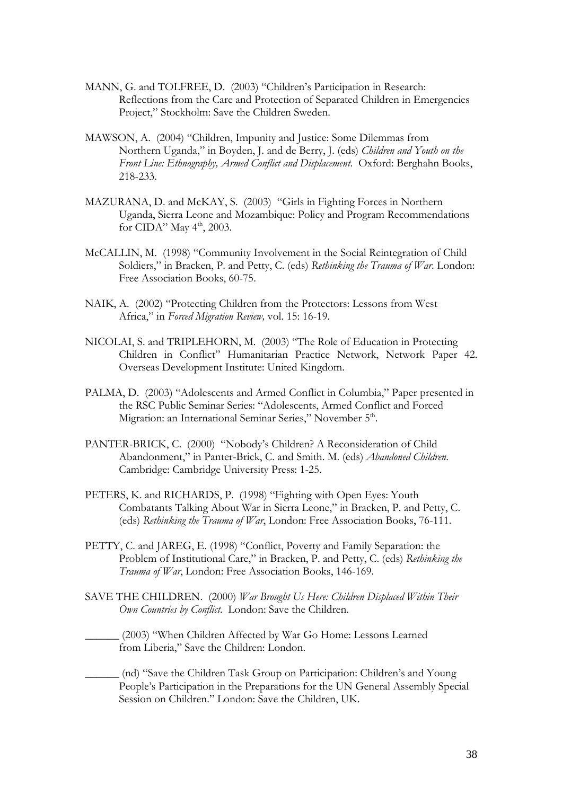- MANN, G. and TOLFREE, D. (2003) "Children's Participation in Research: Reflections from the Care and Protection of Separated Children in Emergencies Project," Stockholm: Save the Children Sweden.
- MAWSON, A. (2004) "Children, Impunity and Justice: Some Dilemmas from Northern Uganda," in Boyden, J. and de Berry, J. (eds) *Children and Youth on the Front Line: Ethnography, Armed Conflict and Displacement*. Oxford: Berghahn Books, 218-233.
- MAZURANA, D. and McKAY, S. (2003) "Girls in Fighting Forces in Northern Uganda, Sierra Leone and Mozambique: Policy and Program Recommendations for CIDA" May  $4<sup>th</sup>$ , 2003.
- McCALLIN, M. (1998) "Community Involvement in the Social Reintegration of Child Soldiers," in Bracken, P. and Petty, C. (eds) *Rethinking the Trauma of War*. London: Free Association Books, 60-75.
- NAIK, A. (2002) "Protecting Children from the Protectors: Lessons from West Africa," in *Forced Migration Review,* vol. 15: 16-19.
- NICOLAI, S. and TRIPLEHORN, M. (2003) "The Role of Education in Protecting Children in Conflict" Humanitarian Practice Network, Network Paper 42. Overseas Development Institute: United Kingdom.
- PALMA, D. (2003) "Adolescents and Armed Conflict in Columbia," Paper presented in the RSC Public Seminar Series: "Adolescents, Armed Conflict and Forced Migration: an International Seminar Series," November 5<sup>th</sup>.
- PANTER-BRICK, C. (2000) "Nobody's Children? A Reconsideration of Child Abandonment," in Panter-Brick, C. and Smith. M. (eds) *Abandoned Children*. Cambridge: Cambridge University Press: 1-25.
- PETERS, K. and RICHARDS, P. (1998) "Fighting with Open Eyes: Youth Combatants Talking About War in Sierra Leone," in Bracken, P. and Petty, C. (eds) *Rethinking the Trauma of War*, London: Free Association Books, 76-111.
- PETTY, C. and JAREG, E. (1998) "Conflict, Poverty and Family Separation: the Problem of Institutional Care," in Bracken, P. and Petty, C. (eds) *Rethinking the Trauma of War*, London: Free Association Books, 146-169.
- SAVE THE CHILDREN. (2000) *War Brought Us Here: Children Displaced Within Their Own Countries by Conflict*. London: Save the Children.
- \_\_\_\_\_\_ (2003) "When Children Affected by War Go Home: Lessons Learned from Liberia," Save the Children: London.
- \_\_\_\_\_\_ (nd) "Save the Children Task Group on Participation: Children's and Young People's Participation in the Preparations for the UN General Assembly Special Session on Children." London: Save the Children, UK.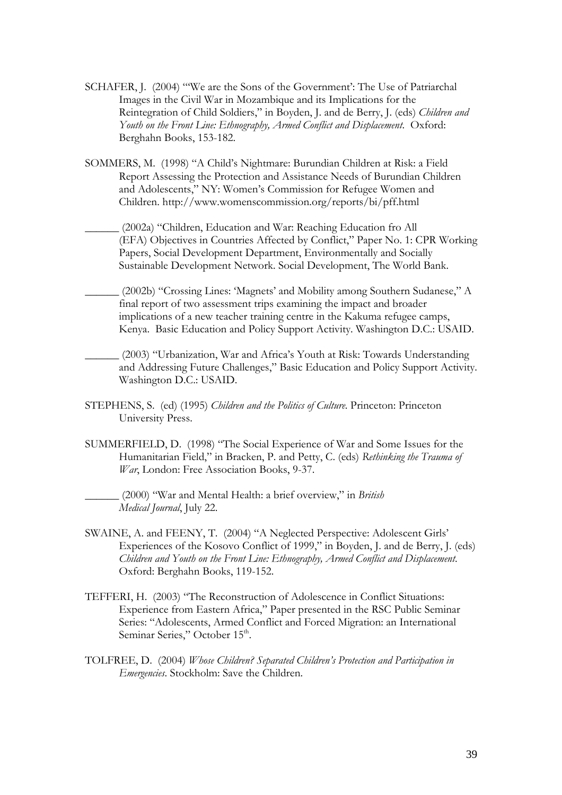- SCHAFER, J. (2004) "'We are the Sons of the Government': The Use of Patriarchal Images in the Civil War in Mozambique and its Implications for the Reintegration of Child Soldiers," in Boyden, J. and de Berry, J. (eds) *Children and Youth on the Front Line: Ethnography, Armed Conflict and Displacement*. Oxford: Berghahn Books, 153-182.
- SOMMERS, M. (1998) "A Child's Nightmare: Burundian Children at Risk: a Field Report Assessing the Protection and Assistance Needs of Burundian Children and Adolescents," NY: Women's Commission for Refugee Women and Children. http://www.womenscommission.org/reports/bi/pff.html
	- \_\_\_\_\_\_ (2002a) "Children, Education and War: Reaching Education fro All (EFA) Objectives in Countries Affected by Conflict," Paper No. 1: CPR Working Papers, Social Development Department, Environmentally and Socially Sustainable Development Network. Social Development, The World Bank.
- \_\_\_\_\_\_ (2002b) "Crossing Lines: 'Magnets' and Mobility among Southern Sudanese," A final report of two assessment trips examining the impact and broader implications of a new teacher training centre in the Kakuma refugee camps, Kenya. Basic Education and Policy Support Activity. Washington D.C.: USAID.
- \_\_\_\_\_\_ (2003) "Urbanization, War and Africa's Youth at Risk: Towards Understanding and Addressing Future Challenges," Basic Education and Policy Support Activity. Washington D.C.: USAID.
- STEPHENS, S. (ed) (1995) *Children and the Politics of Culture*. Princeton: Princeton University Press.
- SUMMERFIELD, D. (1998) "The Social Experience of War and Some Issues for the Humanitarian Field," in Bracken, P. and Petty, C. (eds) *Rethinking the Trauma of War*, London: Free Association Books, 9-37.

\_\_\_\_\_\_ (2000) "War and Mental Health: a brief overview," in *British Medical Journal*, July 22.

- SWAINE, A. and FEENY, T. (2004) "A Neglected Perspective: Adolescent Girls' Experiences of the Kosovo Conflict of 1999," in Boyden, J. and de Berry, J. (eds) *Children and Youth on the Front Line: Ethnography, Armed Conflict and Displacement*. Oxford: Berghahn Books, 119-152.
- TEFFERI, H. (2003) "The Reconstruction of Adolescence in Conflict Situations: Experience from Eastern Africa," Paper presented in the RSC Public Seminar Series: "Adolescents, Armed Conflict and Forced Migration: an International Seminar Series," October 15<sup>th</sup>.
- TOLFREE, D. (2004) *Whose Children? Separated Children's Protection and Participation in Emergencies*. Stockholm: Save the Children.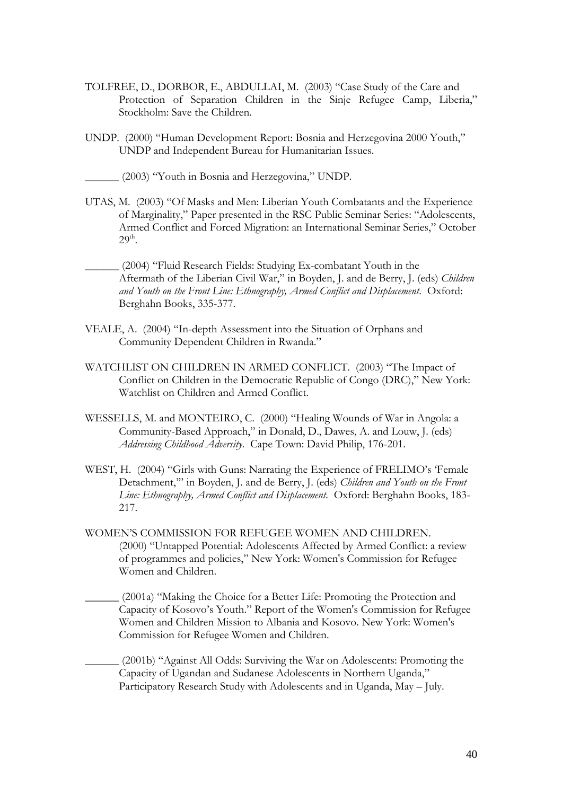- TOLFREE, D., DORBOR, E., ABDULLAI, M. (2003) "Case Study of the Care and Protection of Separation Children in the Sinje Refugee Camp, Liberia," Stockholm: Save the Children.
- UNDP. (2000) "Human Development Report: Bosnia and Herzegovina 2000 Youth," UNDP and Independent Bureau for Humanitarian Issues.
- \_\_\_\_\_\_ (2003) "Youth in Bosnia and Herzegovina," UNDP.
- UTAS, M. (2003) "Of Masks and Men: Liberian Youth Combatants and the Experience of Marginality," Paper presented in the RSC Public Seminar Series: "Adolescents, Armed Conflict and Forced Migration: an International Seminar Series," October  $29<sup>th</sup>$ .
- \_\_\_\_\_\_ (2004) "Fluid Research Fields: Studying Ex-combatant Youth in the Aftermath of the Liberian Civil War," in Boyden, J. and de Berry, J. (eds) *Children and Youth on the Front Line: Ethnography, Armed Conflict and Displacement*. Oxford: Berghahn Books, 335-377.
- VEALE, A. (2004) "In-depth Assessment into the Situation of Orphans and Community Dependent Children in Rwanda."
- WATCHLIST ON CHILDREN IN ARMED CONFLICT. (2003) "The Impact of Conflict on Children in the Democratic Republic of Congo (DRC)," New York: Watchlist on Children and Armed Conflict.
- WESSELLS, M. and MONTEIRO, C. (2000) "Healing Wounds of War in Angola: a Community-Based Approach," in Donald, D., Dawes, A. and Louw, J. (eds) *Addressing Childhood Adversity*. Cape Town: David Philip, 176-201.
- WEST, H. (2004) "Girls with Guns: Narrating the Experience of FRELIMO's 'Female Detachment,'" in Boyden, J. and de Berry, J. (eds) *Children and Youth on the Front Line: Ethnography, Armed Conflict and Displacement*. Oxford: Berghahn Books, 183- 217.
- WOMEN'S COMMISSION FOR REFUGEE WOMEN AND CHILDREN. (2000) "Untapped Potential: Adolescents Affected by Armed Conflict: a review of programmes and policies," New York: Women's Commission for Refugee Women and Children.

\_\_\_\_\_\_ (2001a) "Making the Choice for a Better Life: Promoting the Protection and Capacity of Kosovo's Youth." Report of the Women's Commission for Refugee Women and Children Mission to Albania and Kosovo. New York: Women's Commission for Refugee Women and Children.

\_\_\_\_\_\_ (2001b) "Against All Odds: Surviving the War on Adolescents: Promoting the Capacity of Ugandan and Sudanese Adolescents in Northern Uganda," Participatory Research Study with Adolescents and in Uganda, May – July.